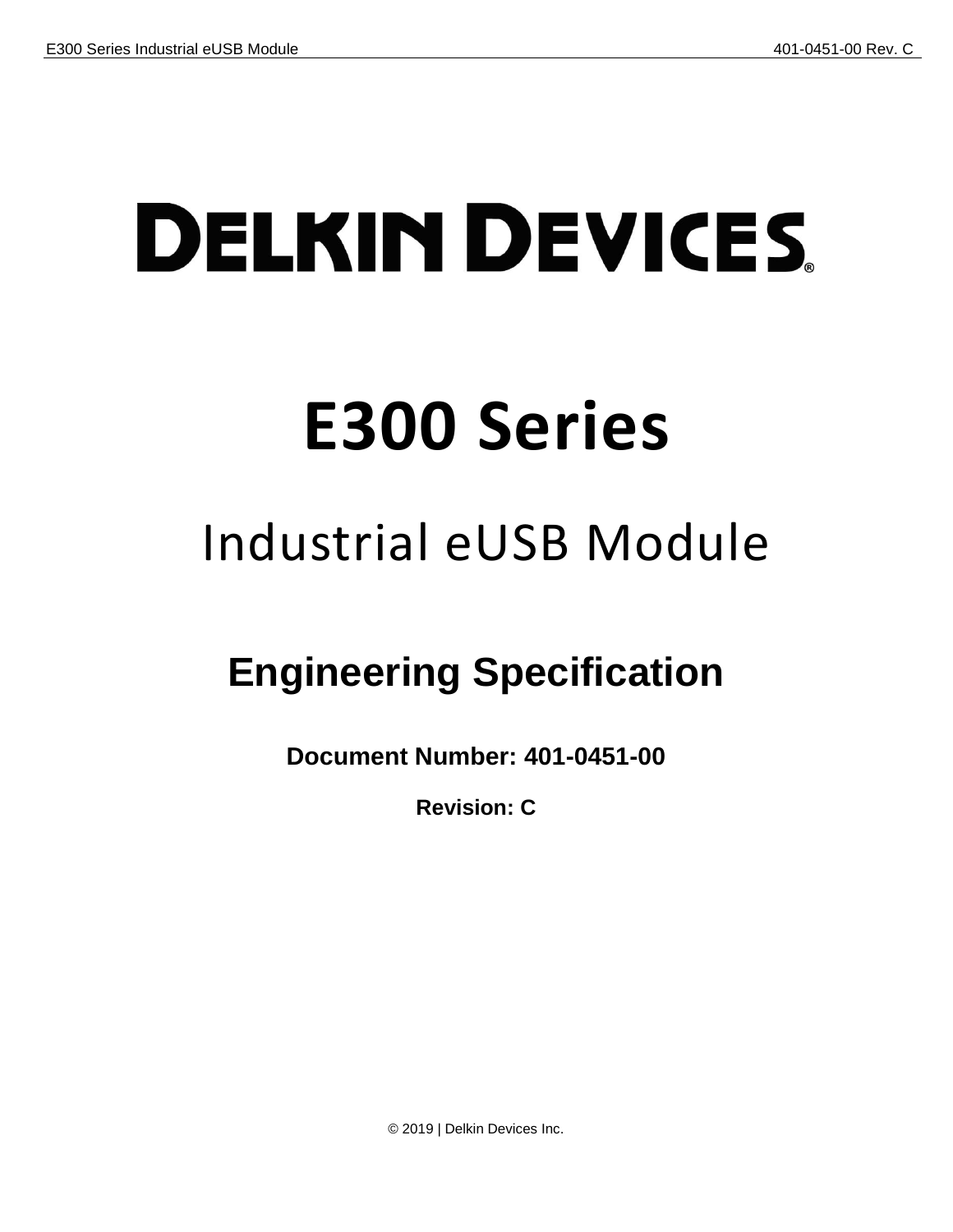# **DELKIN DEVICES E300 Series**

# Industrial eUSB Module

## **Engineering Specification**

**Document Number: 401-0451-00**

**Revision: C**

© 2019 | Delkin Devices Inc.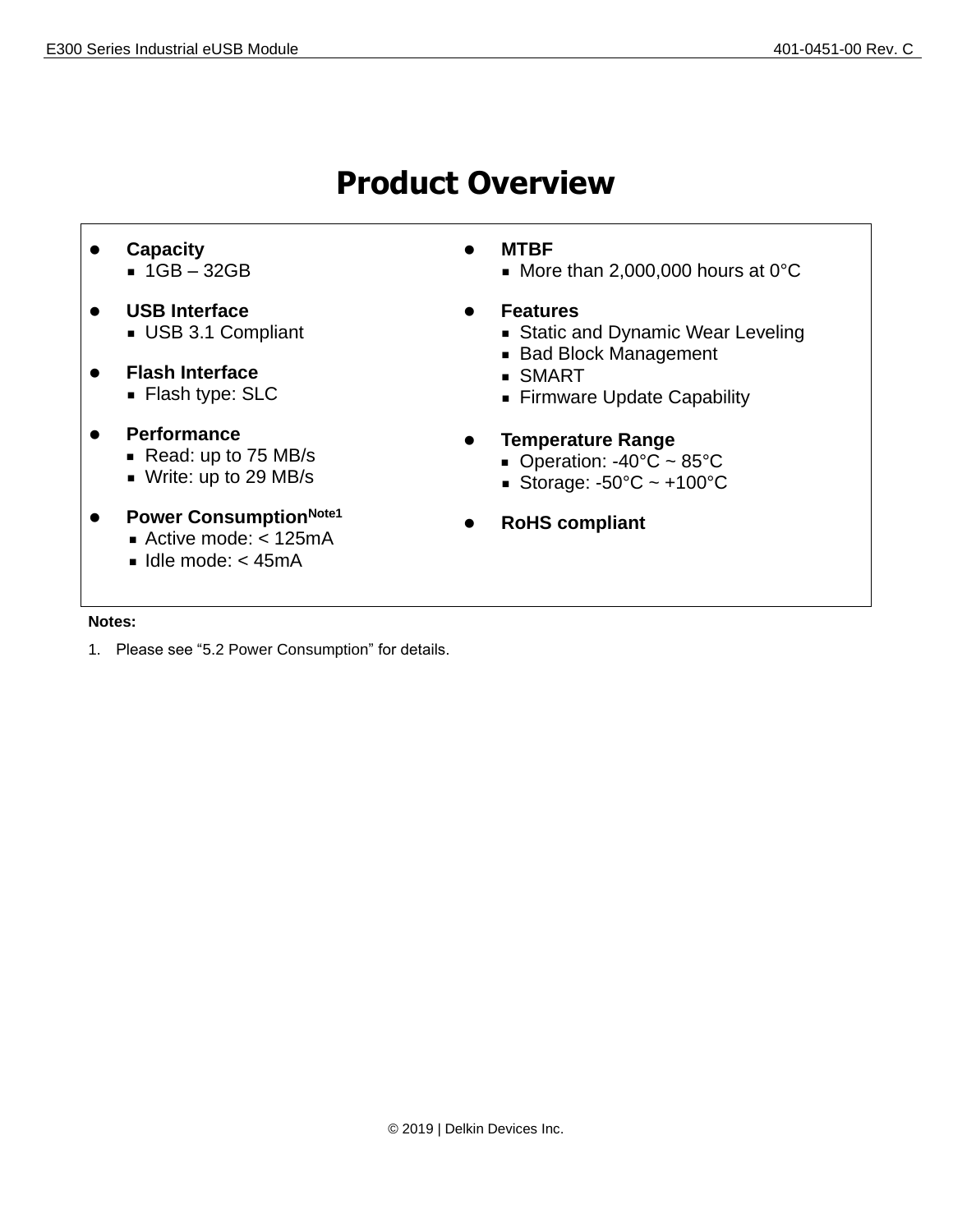## **Product Overview**

- ⚫ **Capacity** ■ 1GB – 32GB
- ⚫ **USB Interface** ■ USB 3.1 Compliant
- ⚫ **Flash Interface**
	- Flash type: SLC
- ⚫ **Performance**
	- Read: up to 75 MB/s
	- Write: up to 29 MB/s
- ⚫ **Power ConsumptionNote1**
	- Active mode: < 125mA
		- $\blacksquare$  Idle mode: < 45mA
- ⚫ **MTBF**
	- More than 2,000,000 hours at 0°C
- ⚫ **Features**
	- Static and Dynamic Wear Leveling
	- Bad Block Management
	- SMART
	- Firmware Update Capability
- ⚫ **Temperature Range**
	- $\blacksquare$  Operation: -40°C ~ 85°C
	- Storage:  $-50^{\circ}$ C ~  $+100^{\circ}$ C
- ⚫ **RoHS compliant**

#### **Notes:**

1. Please see ["5.2](#page-12-0) [Power Consumption"](#page-12-0) for details.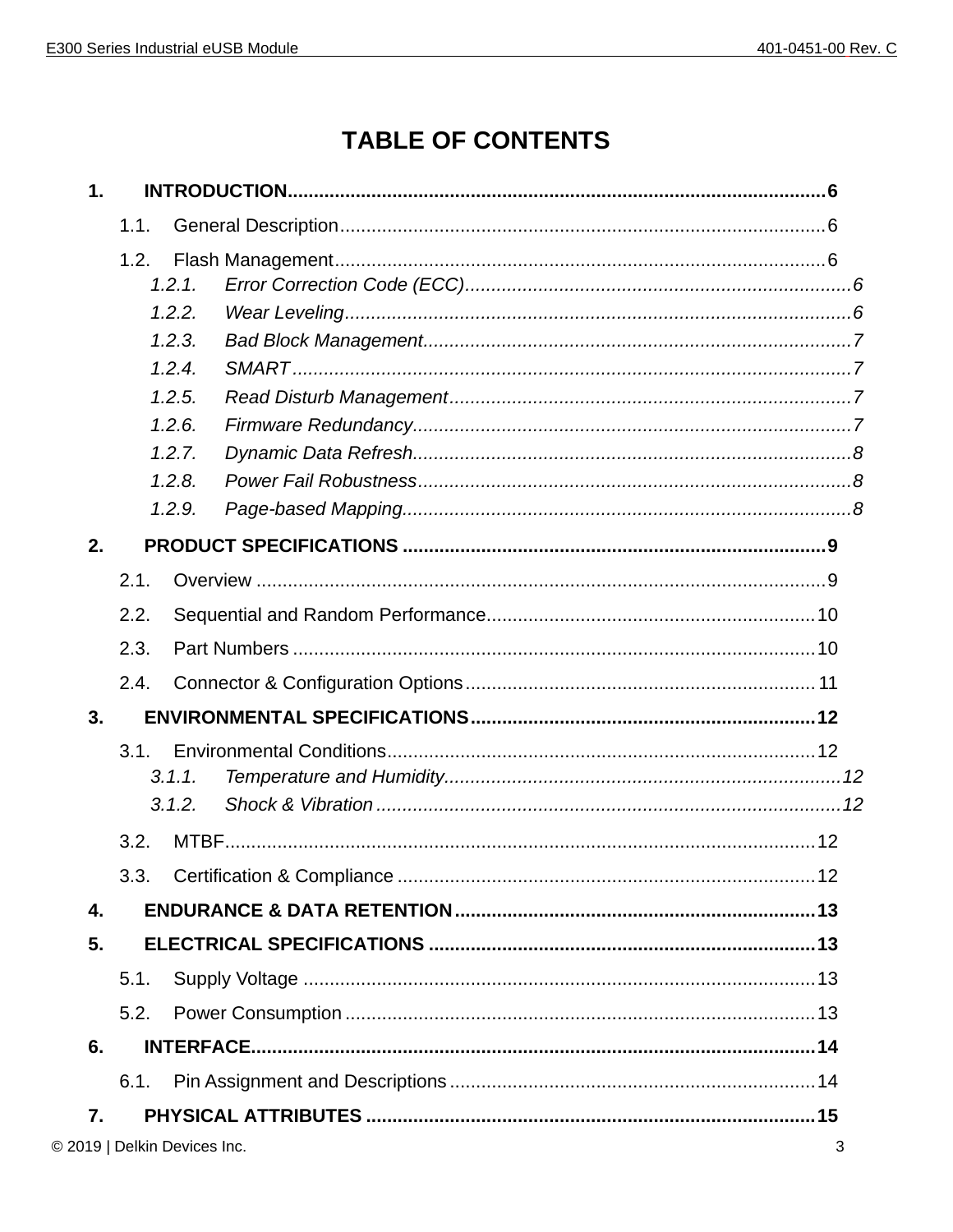## TABLE OF CONTENTS

| $\mathbf 1$ .                |      |        |   |
|------------------------------|------|--------|---|
|                              | 1.1. |        |   |
|                              | 1.2. |        |   |
|                              |      | 1.2.1. |   |
|                              |      | 1.2.2. |   |
|                              |      | 1.2.3. |   |
|                              |      | 1.2.4. |   |
|                              |      | 1.2.5. |   |
|                              |      | 1.2.6. |   |
|                              |      | 1.2.7. |   |
|                              |      | 1,2.8. |   |
|                              |      | 1.2.9. |   |
| 2.                           |      |        |   |
|                              | 2.1. |        |   |
|                              | 2.2. |        |   |
|                              | 2.3. |        |   |
|                              | 2.4. |        |   |
| 3.                           |      |        |   |
|                              | 3.1. |        |   |
|                              |      | 3.1.1. |   |
|                              |      | 3.1.2. |   |
|                              | 3.2. |        |   |
|                              | 3.3. |        |   |
| 4.                           |      |        |   |
| 5.                           |      |        |   |
|                              | 5.1. |        |   |
|                              | 5.2. |        |   |
| 6.                           |      |        |   |
|                              | 6.1. |        |   |
| 7.                           |      |        |   |
| © 2019   Delkin Devices Inc. |      |        | 3 |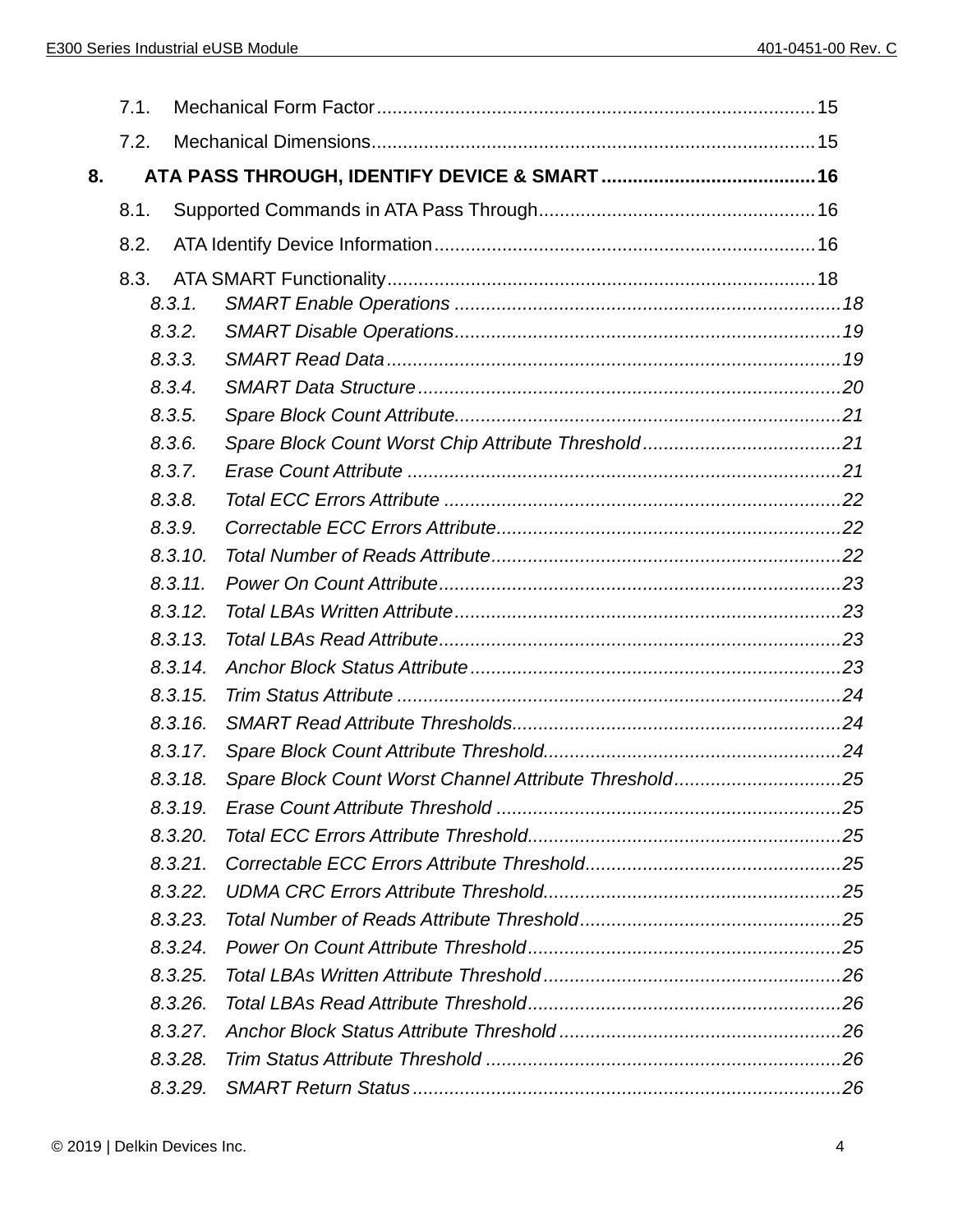|    | 7.1. |         |                                                       |  |
|----|------|---------|-------------------------------------------------------|--|
|    | 7.2. |         |                                                       |  |
| 8. |      |         |                                                       |  |
|    | 8.1. |         |                                                       |  |
|    | 8.2. |         |                                                       |  |
|    | 8.3. |         |                                                       |  |
|    |      | 8.3.1.  |                                                       |  |
|    |      | 8.3.2.  |                                                       |  |
|    |      | 8.3.3.  |                                                       |  |
|    |      | 8.3.4.  |                                                       |  |
|    |      | 8.3.5.  |                                                       |  |
|    |      | 8.3.6.  |                                                       |  |
|    |      | 8.3.7.  |                                                       |  |
|    |      | 8.3.8.  |                                                       |  |
|    |      | 8.3.9.  |                                                       |  |
|    |      | 8.3.10. |                                                       |  |
|    |      | 8.3.11. |                                                       |  |
|    |      | 8.3.12. |                                                       |  |
|    |      | 8.3.13. |                                                       |  |
|    |      | 8.3.14. |                                                       |  |
|    |      | 8.3.15. |                                                       |  |
|    |      | 8.3.16. |                                                       |  |
|    |      | 8.3.17. |                                                       |  |
|    |      | 8.3.18. | Spare Block Count Worst Channel Attribute Threshold25 |  |
|    |      | 8,3,19, |                                                       |  |
|    |      | 8.3.20. |                                                       |  |
|    |      | 8.3.21. |                                                       |  |
|    |      | 8.3.22. |                                                       |  |
|    |      | 8.3.23. |                                                       |  |
|    |      | 8.3.24. |                                                       |  |
|    |      | 8.3.25. |                                                       |  |
|    |      | 8.3.26. |                                                       |  |
|    |      | 8.3.27. |                                                       |  |
|    |      | 8.3.28. |                                                       |  |
|    |      | 8.3.29. |                                                       |  |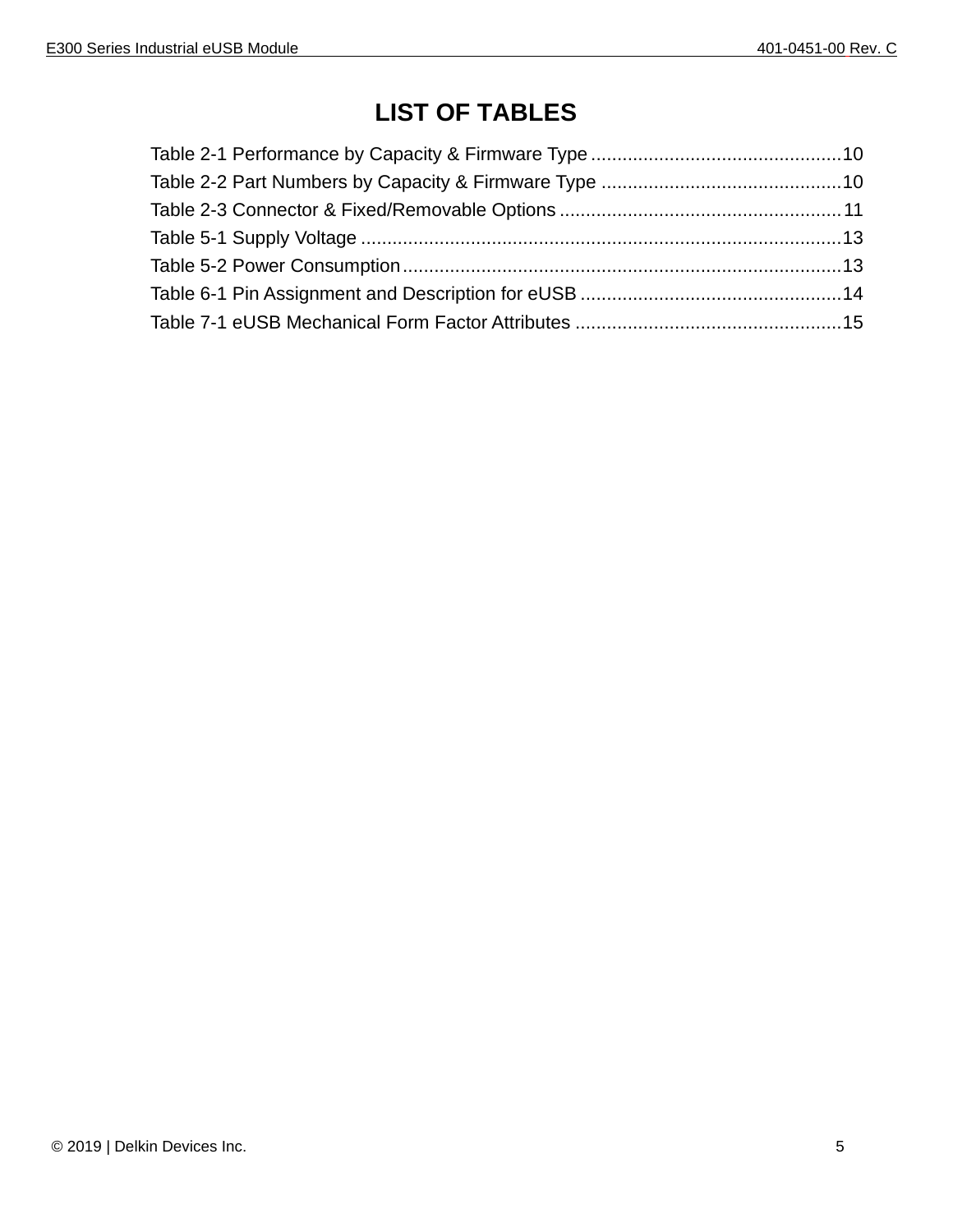## **LIST OF TABLES**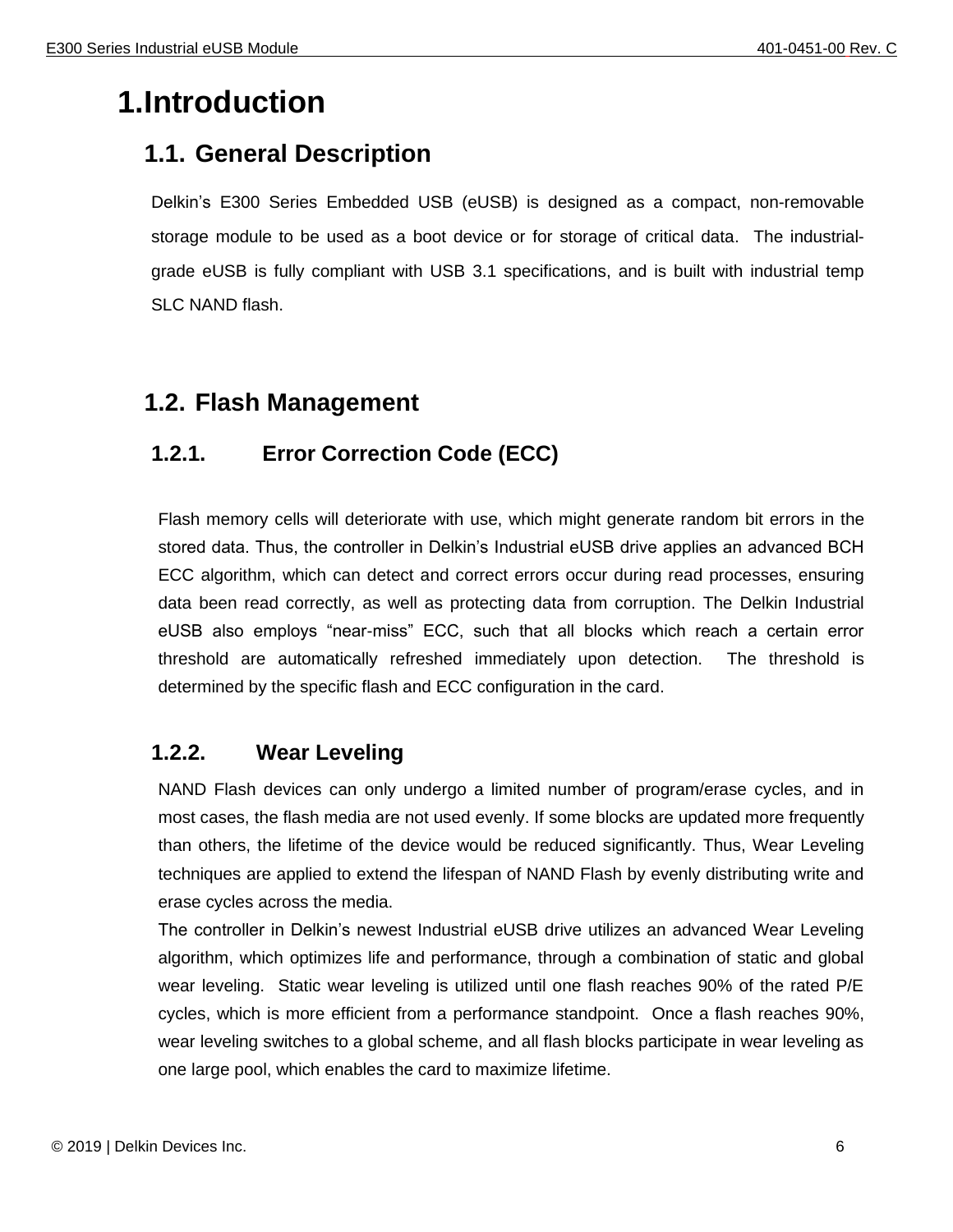## <span id="page-5-0"></span>**1.Introduction**

## <span id="page-5-1"></span>**1.1. General Description**

Delkin's E300 Series Embedded USB (eUSB) is designed as a compact, non-removable storage module to be used as a boot device or for storage of critical data. The industrialgrade eUSB is fully compliant with USB 3.1 specifications, and is built with industrial temp SLC NAND flash.

## <span id="page-5-2"></span>**1.2. Flash Management**

## <span id="page-5-3"></span>**1.2.1. Error Correction Code (ECC)**

Flash memory cells will deteriorate with use, which might generate random bit errors in the stored data. Thus, the controller in Delkin's Industrial eUSB drive applies an advanced BCH ECC algorithm, which can detect and correct errors occur during read processes, ensuring data been read correctly, as well as protecting data from corruption. The Delkin Industrial eUSB also employs "near-miss" ECC, such that all blocks which reach a certain error threshold are automatically refreshed immediately upon detection. The threshold is determined by the specific flash and ECC configuration in the card.

## <span id="page-5-4"></span>**1.2.2. Wear Leveling**

NAND Flash devices can only undergo a limited number of program/erase cycles, and in most cases, the flash media are not used evenly. If some blocks are updated more frequently than others, the lifetime of the device would be reduced significantly. Thus, Wear Leveling techniques are applied to extend the lifespan of NAND Flash by evenly distributing write and erase cycles across the media.

The controller in Delkin's newest Industrial eUSB drive utilizes an advanced Wear Leveling algorithm, which optimizes life and performance, through a combination of static and global wear leveling. Static wear leveling is utilized until one flash reaches 90% of the rated P/E cycles, which is more efficient from a performance standpoint. Once a flash reaches 90%, wear leveling switches to a global scheme, and all flash blocks participate in wear leveling as one large pool, which enables the card to maximize lifetime.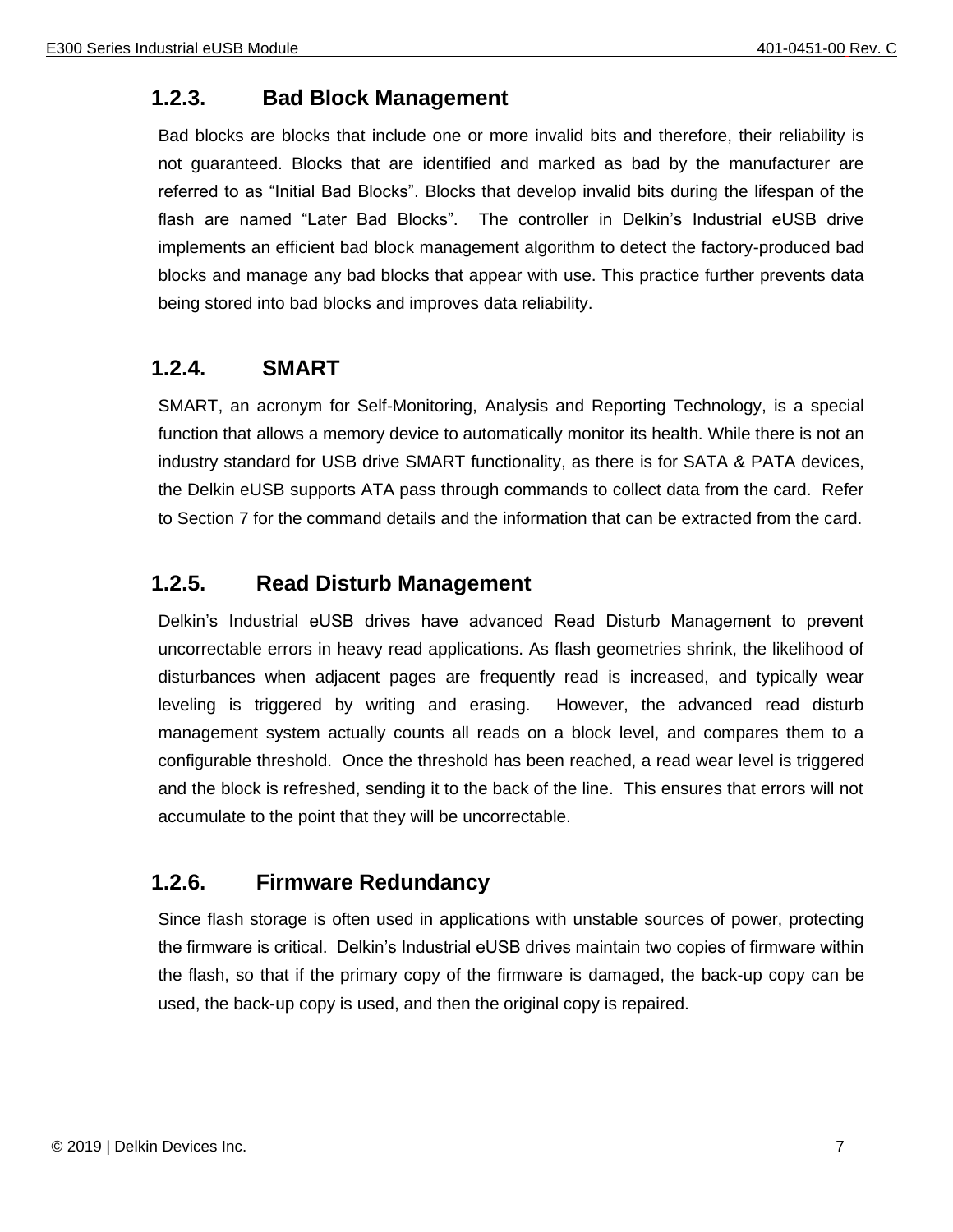## <span id="page-6-0"></span>**1.2.3. Bad Block Management**

Bad blocks are blocks that include one or more invalid bits and therefore, their reliability is not guaranteed. Blocks that are identified and marked as bad by the manufacturer are referred to as "Initial Bad Blocks". Blocks that develop invalid bits during the lifespan of the flash are named "Later Bad Blocks". The controller in Delkin's Industrial eUSB drive implements an efficient bad block management algorithm to detect the factory-produced bad blocks and manage any bad blocks that appear with use. This practice further prevents data being stored into bad blocks and improves data reliability.

#### <span id="page-6-1"></span>**1.2.4. SMART**

SMART, an acronym for Self-Monitoring, Analysis and Reporting Technology, is a special function that allows a memory device to automatically monitor its health. While there is not an industry standard for USB drive SMART functionality, as there is for SATA & PATA devices, the Delkin eUSB supports ATA pass through commands to collect data from the card. Refer to Section 7 for the command details and the information that can be extracted from the card.

## <span id="page-6-2"></span>**1.2.5. Read Disturb Management**

Delkin's Industrial eUSB drives have advanced Read Disturb Management to prevent uncorrectable errors in heavy read applications. As flash geometries shrink, the likelihood of disturbances when adjacent pages are frequently read is increased, and typically wear leveling is triggered by writing and erasing. However, the advanced read disturb management system actually counts all reads on a block level, and compares them to a configurable threshold. Once the threshold has been reached, a read wear level is triggered and the block is refreshed, sending it to the back of the line. This ensures that errors will not accumulate to the point that they will be uncorrectable.

#### <span id="page-6-3"></span>**1.2.6. Firmware Redundancy**

Since flash storage is often used in applications with unstable sources of power, protecting the firmware is critical. Delkin's Industrial eUSB drives maintain two copies of firmware within the flash, so that if the primary copy of the firmware is damaged, the back-up copy can be used, the back-up copy is used, and then the original copy is repaired.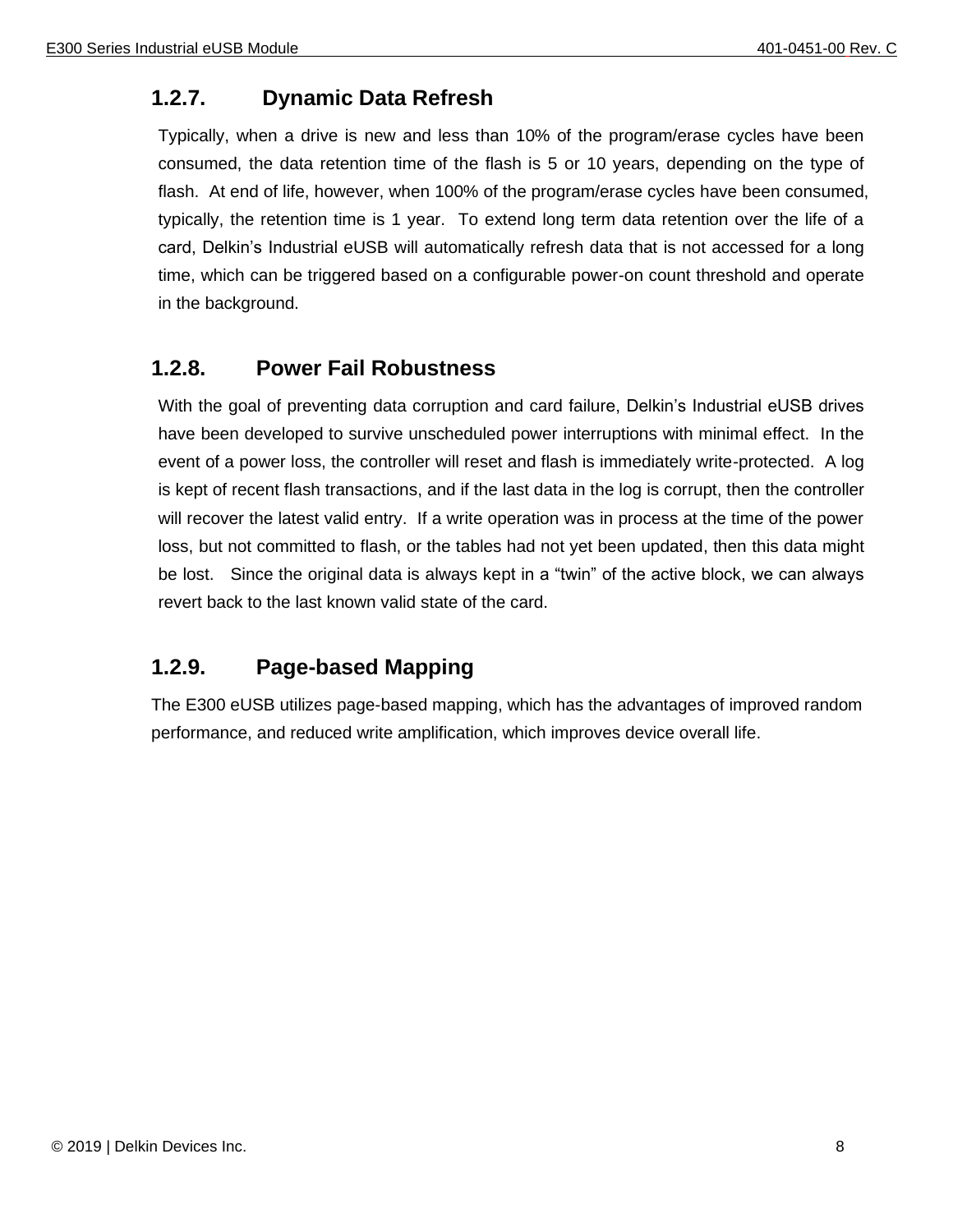## <span id="page-7-0"></span>**1.2.7. Dynamic Data Refresh**

Typically, when a drive is new and less than 10% of the program/erase cycles have been consumed, the data retention time of the flash is 5 or 10 years, depending on the type of flash. At end of life, however, when 100% of the program/erase cycles have been consumed, typically, the retention time is 1 year. To extend long term data retention over the life of a card, Delkin's Industrial eUSB will automatically refresh data that is not accessed for a long time, which can be triggered based on a configurable power-on count threshold and operate in the background.

## <span id="page-7-1"></span>**1.2.8. Power Fail Robustness**

With the goal of preventing data corruption and card failure, Delkin's Industrial eUSB drives have been developed to survive unscheduled power interruptions with minimal effect. In the event of a power loss, the controller will reset and flash is immediately write-protected. A log is kept of recent flash transactions, and if the last data in the log is corrupt, then the controller will recover the latest valid entry. If a write operation was in process at the time of the power loss, but not committed to flash, or the tables had not yet been updated, then this data might be lost. Since the original data is always kept in a "twin" of the active block, we can always revert back to the last known valid state of the card.

## <span id="page-7-2"></span>**1.2.9. Page-based Mapping**

The E300 eUSB utilizes page-based mapping, which has the advantages of improved random performance, and reduced write amplification, which improves device overall life.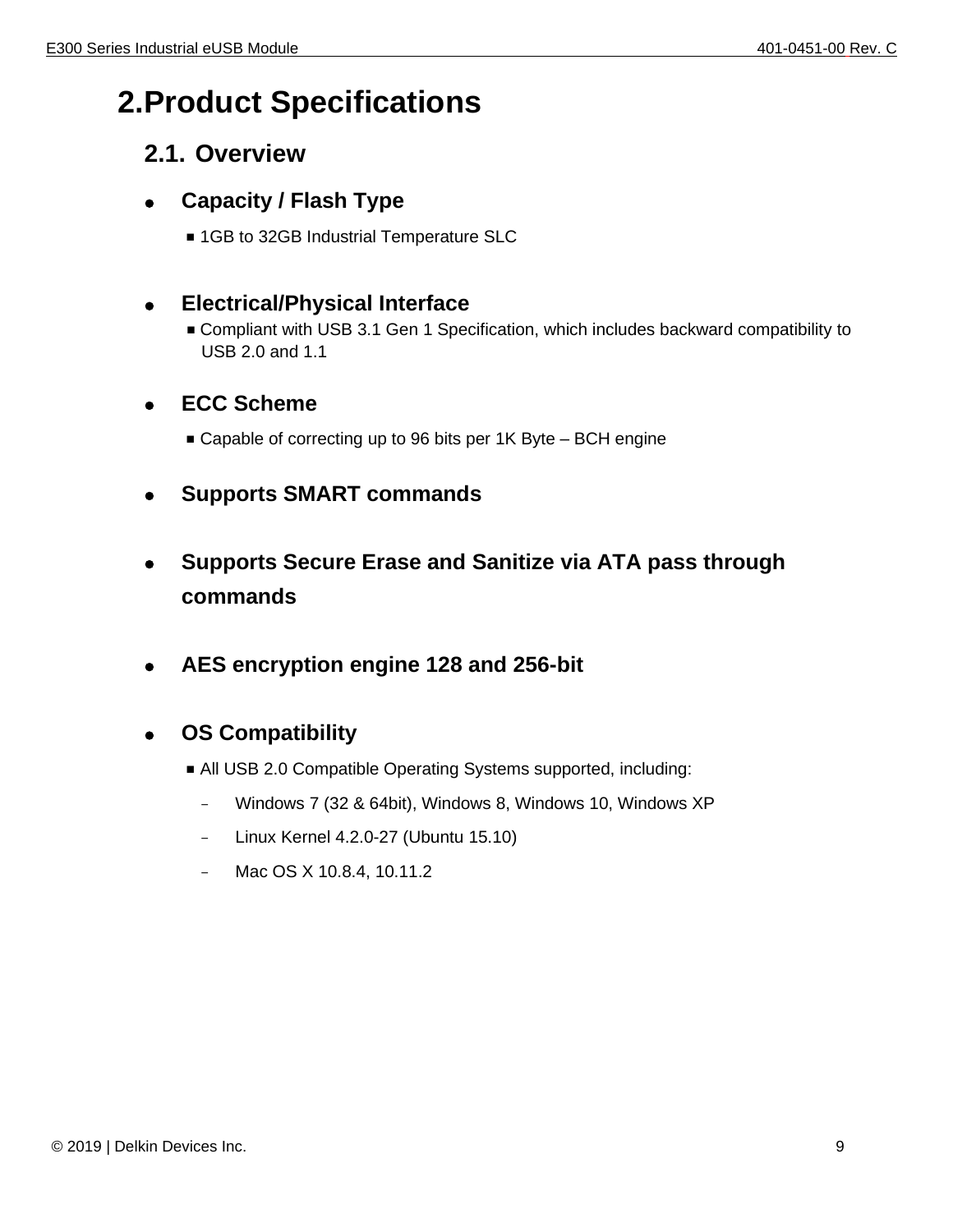## <span id="page-8-0"></span>**2.Product Specifications**

## <span id="page-8-1"></span>**2.1. Overview**

## ⚫ **Capacity / Flash Type**

■ 1GB to 32GB Industrial Temperature SLC

## ⚫ **Electrical/Physical Interface**

■ Compliant with USB 3.1 Gen 1 Specification, which includes backward compatibility to USB 2.0 and 1.1

## ⚫ **ECC Scheme**

- Capable of correcting up to 96 bits per 1K Byte BCH engine
- ⚫ **Supports SMART commands**
- ⚫ **Supports Secure Erase and Sanitize via ATA pass through commands**
- ⚫ **AES encryption engine 128 and 256-bit**

## ⚫ **OS Compatibility**

- All USB 2.0 Compatible Operating Systems supported, including:
	- Windows 7 (32 & 64bit), Windows 8, Windows 10, Windows XP
	- Linux Kernel 4.2.0-27 (Ubuntu 15.10)
	- Mac OS X 10.8.4, 10.11.2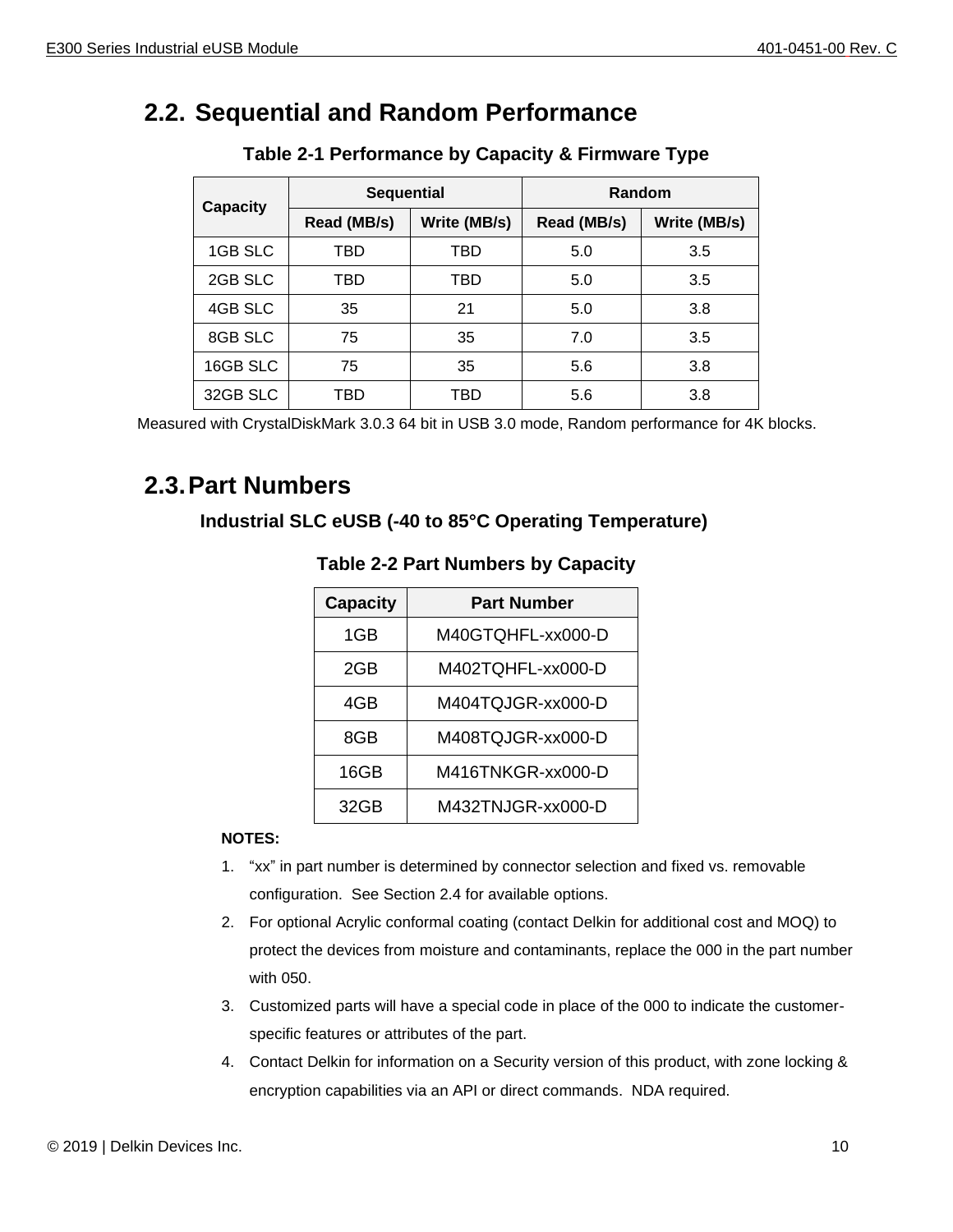## <span id="page-9-2"></span><span id="page-9-0"></span>**2.2. Sequential and Random Performance**

|                 | <b>Sequential</b> |              | Random      |              |
|-----------------|-------------------|--------------|-------------|--------------|
| <b>Capacity</b> | Read (MB/s)       | Write (MB/s) | Read (MB/s) | Write (MB/s) |
| 1GB SLC         | TBD               | TBD          | 5.0         | 3.5          |
| 2GB SLC         | TBD               | TBD          | 5.0         | 3.5          |
| 4GB SLC         | 35                | 21           | 5.0         | 3.8          |
| 8GB SLC         | 75                | 35           | 7.0         | 3.5          |
| 16GB SLC        | 75                | 35           | 5.6         | 3.8          |
| 32GB SLC        | TBD               | TBD          | 5.6         | 3.8          |

#### **Table 2-1 Performance by Capacity & Firmware Type**

Measured with CrystalDiskMark 3.0.3 64 bit in USB 3.0 mode, Random performance for 4K blocks.

## <span id="page-9-3"></span><span id="page-9-1"></span>**2.3.Part Numbers**

#### **Industrial SLC eUSB (-40 to 85°C Operating Temperature)**

| <b>Capacity</b> | <b>Part Number</b> |
|-----------------|--------------------|
| 1GB             | M40GTQHFL-xx000-D  |
| 2GB             | M402TQHFL-xx000-D  |
| 4GB             | M404TQJGR-xx000-D  |
| 8GB             | M408TQJGR-xx000-D  |
| 16GB            | M416TNKGR-xx000-D  |
| 32GB            | M432TNJGR-xx000-D  |

#### **Table 2-2 Part Numbers by Capacity**

#### **NOTES:**

- 1. "xx" in part number is determined by connector selection and fixed vs. removable configuration. See Section 2.4 for available options.
- 2. For optional Acrylic conformal coating (contact Delkin for additional cost and MOQ) to protect the devices from moisture and contaminants, replace the 000 in the part number with 050.
- 3. Customized parts will have a special code in place of the 000 to indicate the customerspecific features or attributes of the part.
- 4. Contact Delkin for information on a Security version of this product, with zone locking & encryption capabilities via an API or direct commands. NDA required.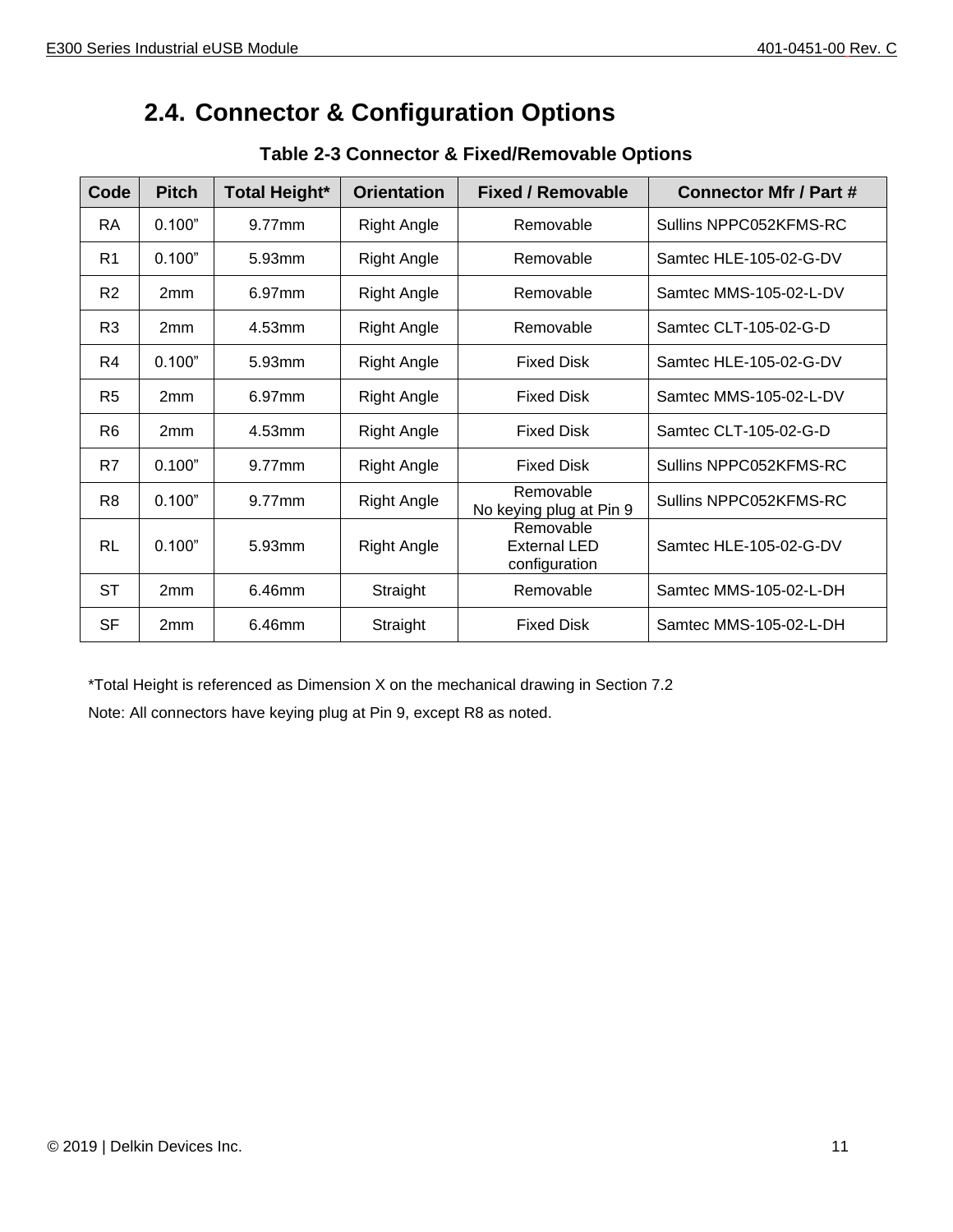## <span id="page-10-0"></span>**2.4. Connector & Configuration Options**

<span id="page-10-1"></span>

| Code           | <b>Pitch</b> | <b>Total Height*</b> | <b>Orientation</b> | <b>Fixed / Removable</b>                          | <b>Connector Mfr / Part #</b> |
|----------------|--------------|----------------------|--------------------|---------------------------------------------------|-------------------------------|
| <b>RA</b>      | 0.100"       | 9.77mm               | Right Angle        | Removable                                         | Sullins NPPC052KFMS-RC        |
| R <sub>1</sub> | 0.100"       | 5.93mm               | Right Angle        | Removable                                         | Samtec HLE-105-02-G-DV        |
| R <sub>2</sub> | 2mm          | 6.97mm               | <b>Right Angle</b> | Removable                                         | Samtec MMS-105-02-L-DV        |
| R <sub>3</sub> | 2mm          | 4.53mm               | <b>Right Angle</b> | Removable                                         | Samtec CLT-105-02-G-D         |
| R4             | 0.100"       | 5.93mm               | <b>Right Angle</b> | <b>Fixed Disk</b>                                 | Samtec HLE-105-02-G-DV        |
| R <sub>5</sub> | 2mm          | 6.97mm               | Right Angle        | <b>Fixed Disk</b>                                 | Samtec MMS-105-02-L-DV        |
| R <sub>6</sub> | 2mm          | 4.53mm               | <b>Right Angle</b> | <b>Fixed Disk</b>                                 | Samtec CLT-105-02-G-D         |
| R7             | 0.100"       | 9.77mm               | <b>Right Angle</b> | <b>Fixed Disk</b>                                 | Sullins NPPC052KFMS-RC        |
| R <sub>8</sub> | 0.100"       | 9.77mm               | <b>Right Angle</b> | Removable<br>No keying plug at Pin 9              | Sullins NPPC052KFMS-RC        |
| <b>RL</b>      | 0.100"       | 5.93mm               | <b>Right Angle</b> | Removable<br><b>External LED</b><br>configuration | Samtec HLE-105-02-G-DV        |
| <b>ST</b>      | 2mm          | 6.46mm               | Straight           | Removable                                         | Samtec MMS-105-02-L-DH        |
| <b>SF</b>      | 2mm          | 6.46mm               | Straight           | <b>Fixed Disk</b>                                 | Samtec MMS-105-02-L-DH        |

#### **Table 2-3 Connector & Fixed/Removable Options**

\*Total Height is referenced as Dimension X on the mechanical drawing in Section 7.2 Note: All connectors have keying plug at Pin 9, except R8 as noted.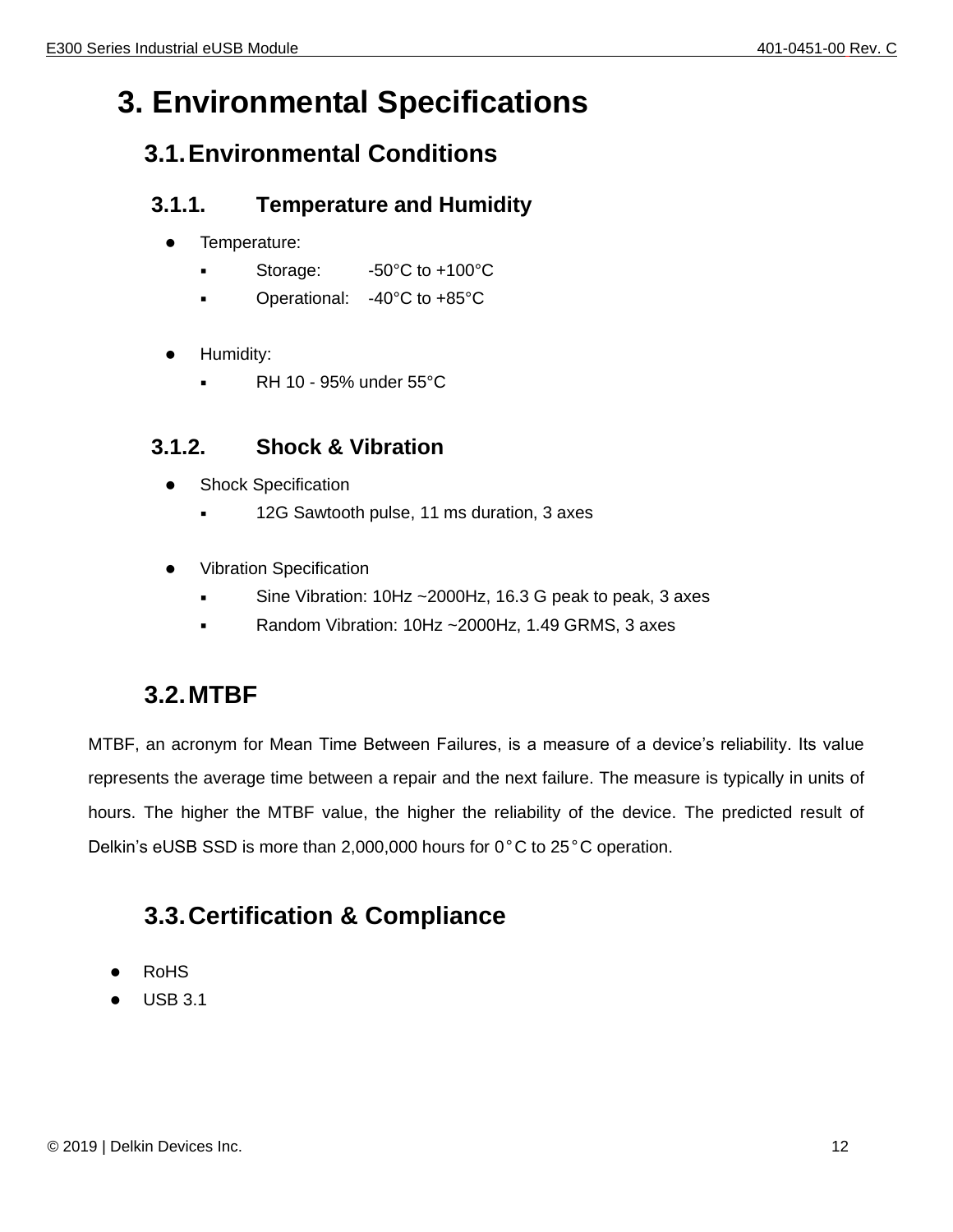## <span id="page-11-1"></span><span id="page-11-0"></span>**3. Environmental Specifications**

## **3.1.Environmental Conditions**

## <span id="page-11-2"></span>**3.1.1. Temperature and Humidity**

- ⚫ Temperature:
	- Storage:  $-50^{\circ}$ C to  $+100^{\circ}$ C
	- Operational: -40°C to +85°C
- ⚫ Humidity:
	- $RH$  10 95% under 55 $°C$

## <span id="page-11-3"></span>**3.1.2. Shock & Vibration**

- Shock Specification
	- 12G Sawtooth pulse, 11 ms duration, 3 axes
- ⚫ Vibration Specification
	- Sine Vibration:  $10Hz \sim 2000Hz$ , 16.3 G peak to peak, 3 axes
	- Random Vibration:  $10Hz \sim 2000Hz$ , 1.49 GRMS, 3 axes

## <span id="page-11-4"></span>**3.2.MTBF**

MTBF, an acronym for Mean Time Between Failures, is a measure of a device's reliability. Its value represents the average time between a repair and the next failure. The measure is typically in units of hours. The higher the MTBF value, the higher the reliability of the device. The predicted result of Delkin's eUSB SSD is more than 2,000,000 hours for 0°C to 25°C operation.

## <span id="page-11-5"></span>**3.3.Certification & Compliance**

- **RoHS**
- ⚫ USB 3.1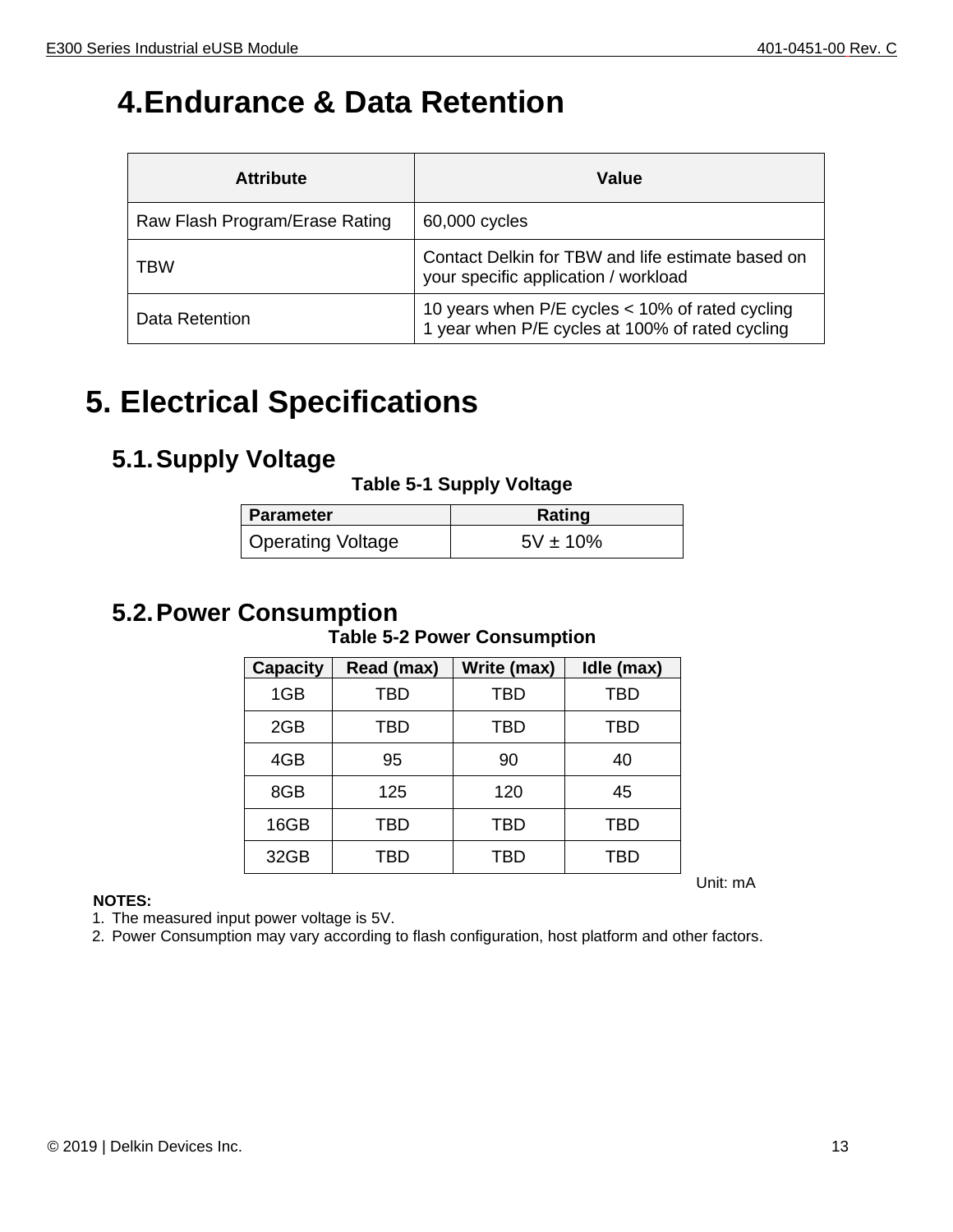## <span id="page-12-1"></span>**4.Endurance & Data Retention**

| <b>Attribute</b>               | Value                                                                                              |
|--------------------------------|----------------------------------------------------------------------------------------------------|
| Raw Flash Program/Erase Rating | 60,000 cycles                                                                                      |
| <b>TBW</b>                     | Contact Delkin for TBW and life estimate based on<br>your specific application / workload          |
| Data Retention                 | 10 years when P/E cycles < 10% of rated cycling<br>1 year when P/E cycles at 100% of rated cycling |

## <span id="page-12-2"></span>**5. Electrical Specifications**

## <span id="page-12-4"></span><span id="page-12-3"></span>**5.1.Supply Voltage**

#### **Table 5-1 Supply Voltage**

| <b>Parameter</b>  | <b>Rating</b> |
|-------------------|---------------|
| Operating Voltage | $5V \pm 10\%$ |

## <span id="page-12-5"></span><span id="page-12-0"></span>**5.2.Power Consumption**

#### **Table 5-2 Power Consumption**

| <b>Capacity</b> | Read (max) | Write (max) | Idle (max) |
|-----------------|------------|-------------|------------|
| 1GB             | <b>TBD</b> | <b>TBD</b>  | <b>TBD</b> |
| 2GB             | TBD        | TBD         | TBD        |
| 4GB             | 95         | 90          | 40         |
| 8GB             | 125        | 120         | 45         |
| 16GB            | TBD        | TBD         | TBD        |
| 32GB            | TBD        | TBD         | TBD        |

#### **NOTES:**

1. The measured input power voltage is 5V.

2. Power Consumption may vary according to flash configuration, host platform and other factors.

Unit: mA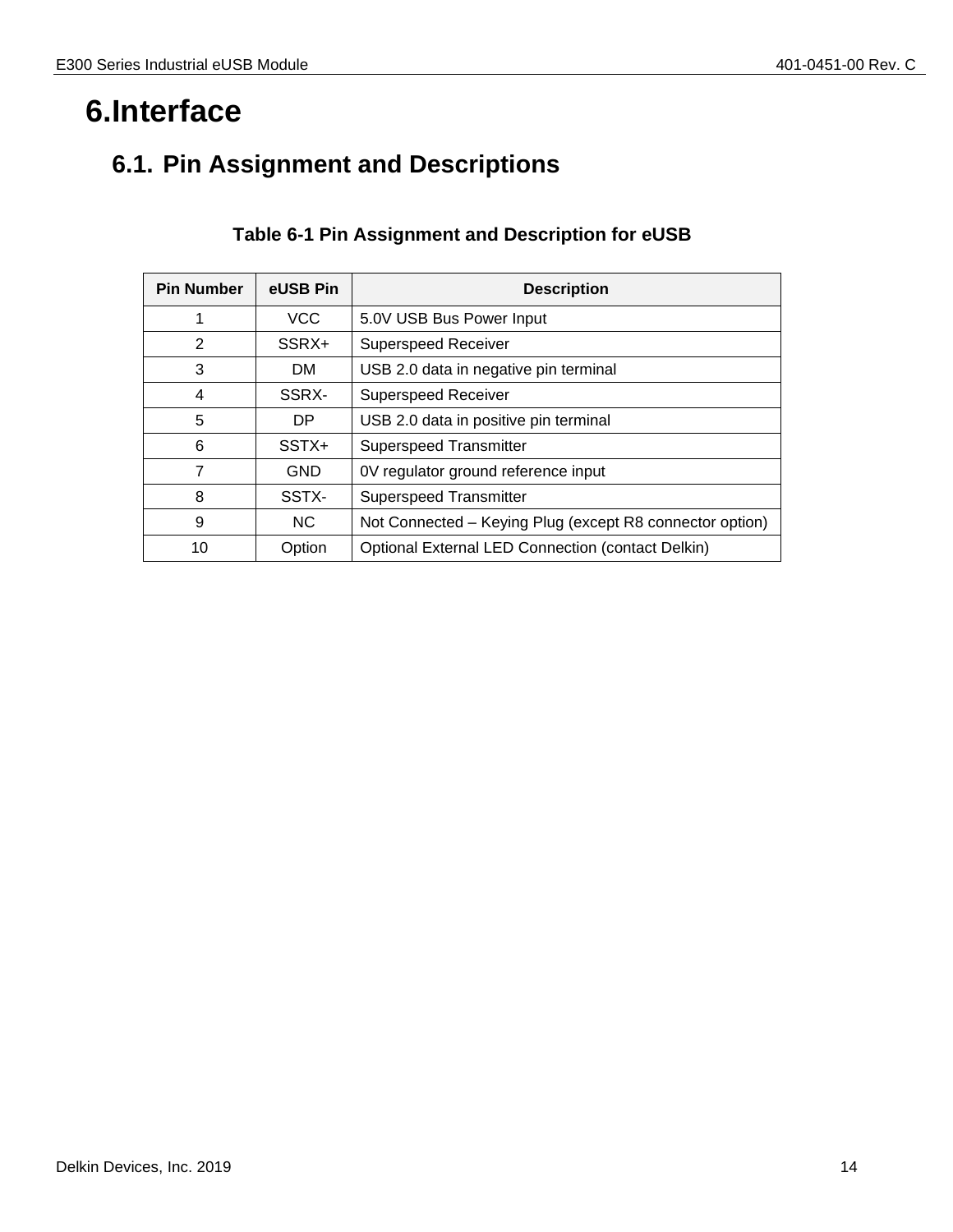## <span id="page-13-0"></span>**6.Interface**

## <span id="page-13-2"></span><span id="page-13-1"></span>**6.1. Pin Assignment and Descriptions**

| <b>Pin Number</b> | eUSB Pin   | <b>Description</b>                                       |
|-------------------|------------|----------------------------------------------------------|
| 1                 | <b>VCC</b> | 5.0V USB Bus Power Input                                 |
| 2                 | SSRX+      | <b>Superspeed Receiver</b>                               |
| 3                 | DM.        | USB 2.0 data in negative pin terminal                    |
| 4                 | SSRX-      | <b>Superspeed Receiver</b>                               |
| 5                 | DP         | USB 2.0 data in positive pin terminal                    |
| 6                 | SSTX+      | <b>Superspeed Transmitter</b>                            |
| 7                 | <b>GND</b> | 0V regulator ground reference input                      |
| 8                 | SSTX-      | <b>Superspeed Transmitter</b>                            |
| 9                 | NC.        | Not Connected - Keying Plug (except R8 connector option) |
| 10                | Option     | <b>Optional External LED Connection (contact Delkin)</b> |

#### **Table 6-1 Pin Assignment and Description for eUSB**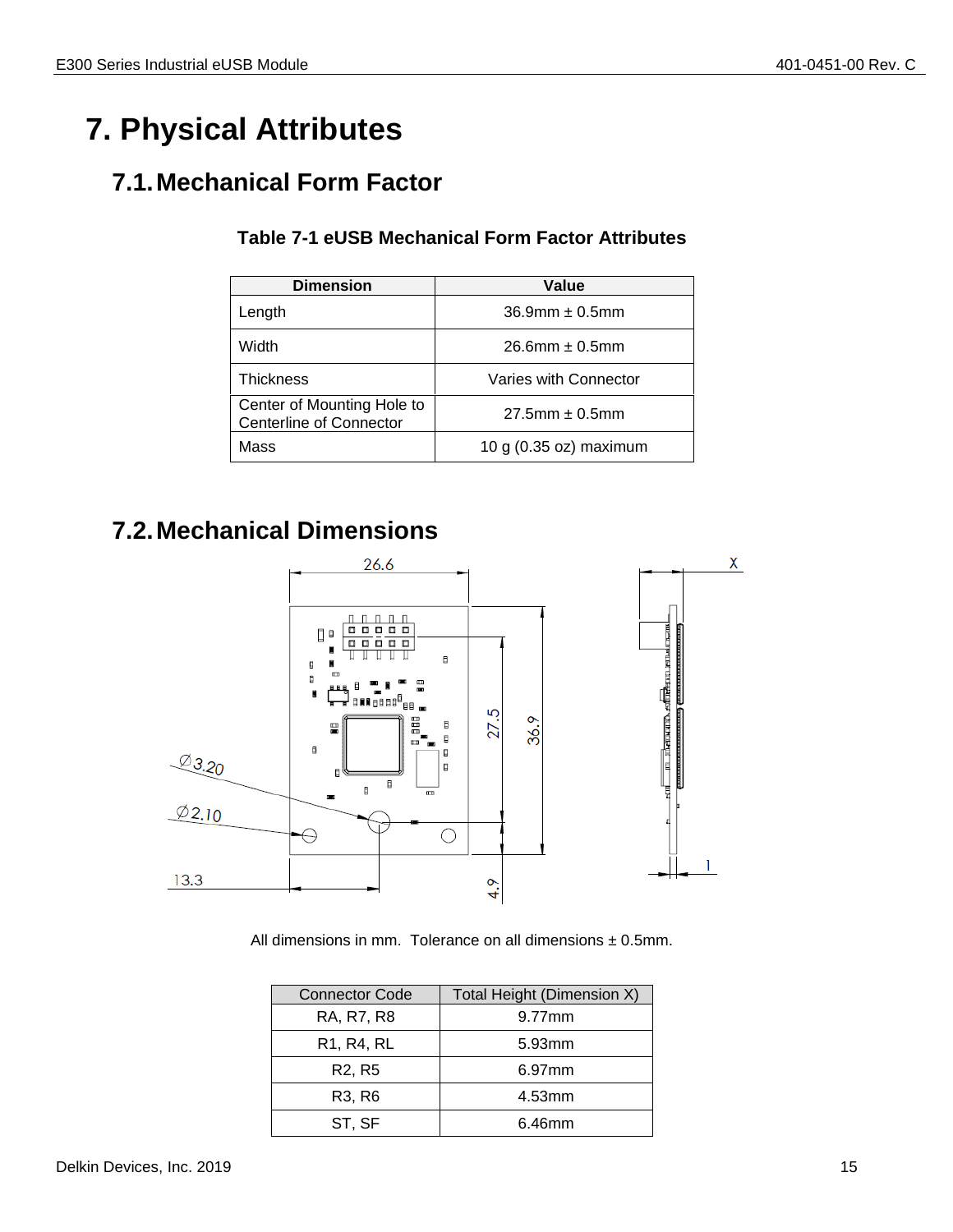## <span id="page-14-0"></span>**7. Physical Attributes**

## <span id="page-14-3"></span><span id="page-14-1"></span>**7.1.Mechanical Form Factor**

| <b>Dimension</b>                                             | Value                  |
|--------------------------------------------------------------|------------------------|
| Length                                                       | $36.9$ mm $\pm 0.5$ mm |
| Width                                                        | $26.6$ mm $\pm 0.5$ mm |
| <b>Thickness</b>                                             | Varies with Connector  |
| Center of Mounting Hole to<br><b>Centerline of Connector</b> | $27.5$ mm $\pm 0.5$ mm |
| Mass                                                         | 10 g (0.35 oz) maximum |

#### **Table 7-1 eUSB Mechanical Form Factor Attributes**

## <span id="page-14-2"></span>**7.2.Mechanical Dimensions**



All dimensions in mm. Tolerance on all dimensions  $\pm$  0.5mm.

| <b>Connector Code</b>                            | Total Height (Dimension X) |
|--------------------------------------------------|----------------------------|
| RA, R7, R8                                       | 9.77mm                     |
| R <sub>1</sub> , R <sub>4</sub> , R <sub>L</sub> | 5.93mm                     |
| R <sub>2</sub> , R <sub>5</sub>                  | 6.97mm                     |
| R <sub>3</sub> , R <sub>6</sub>                  | 4.53mm                     |
| ST, SF                                           | 6.46mm                     |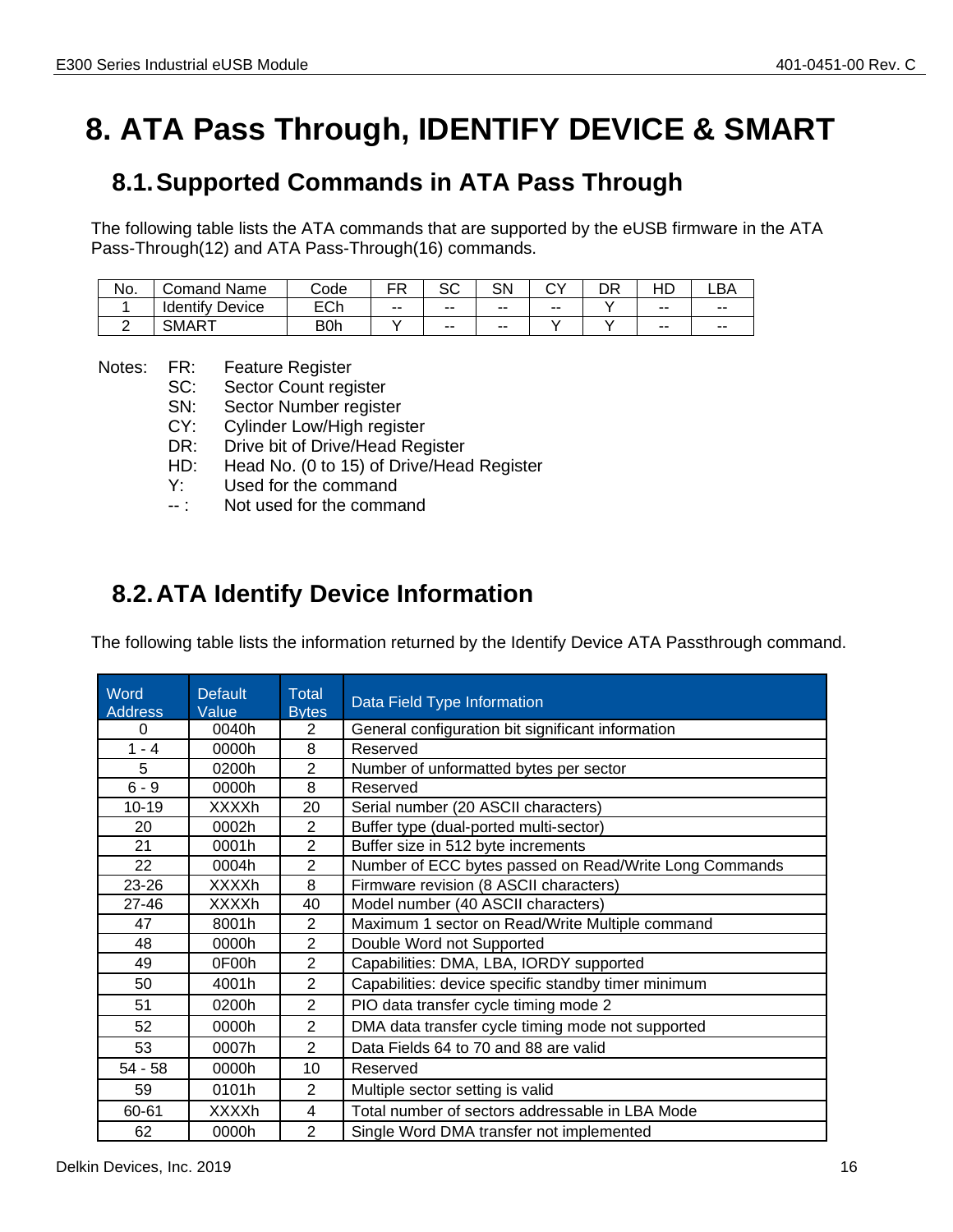## <span id="page-15-0"></span>**8. ATA Pass Through, IDENTIFY DEVICE & SMART**

## <span id="page-15-1"></span>**8.1.Supported Commands in ATA Pass Through**

The following table lists the ATA commands that are supported by the eUSB firmware in the ATA Pass-Through(12) and ATA Pass-Through(16) commands.

| No. | Name<br>`omand      | Code                              | ᆷ<br>Ð<br>. . | ົ<br>ںد | SN    | <b>^`</b> | nR<br>◡ | . .   | _BA   |
|-----|---------------------|-----------------------------------|---------------|---------|-------|-----------|---------|-------|-------|
|     | Identify<br>Device  | $\mathsf{L}\cap\mathsf{h}$<br>∟ບ⊪ | $- -$         | --      | $- -$ | --        |         | $- -$ | $- -$ |
|     | CML<br>ıΔl<br>זועוט | B0h                               |               | --      | $- -$ |           |         | $-$   | $- -$ |

Notes: FR: Feature Register

- SC: Sector Count register
- SN: Sector Number register
- CY: Cylinder Low/High register
- DR: Drive bit of Drive/Head Register
- HD: Head No. (0 to 15) of Drive/Head Register
- Y: Used for the command
- -- : Not used for the command

## <span id="page-15-2"></span>**8.2.ATA Identify Device Information**

The following table lists the information returned by the Identify Device ATA Passthrough command.

| Word<br><b>Address</b> | <b>Default</b><br>Value | Total<br><b>Bytes</b> | Data Field Type Information                            |
|------------------------|-------------------------|-----------------------|--------------------------------------------------------|
| 0                      | 0040h                   | 2                     | General configuration bit significant information      |
| $1 - 4$                | 0000h                   | 8                     | Reserved                                               |
| 5                      | 0200h                   | $\overline{2}$        | Number of unformatted bytes per sector                 |
| $6 - 9$                | 0000h                   | 8                     | Reserved                                               |
| $10 - 19$              | <b>XXXXh</b>            | 20                    | Serial number (20 ASCII characters)                    |
| 20                     | 0002h                   | $\overline{2}$        | Buffer type (dual-ported multi-sector)                 |
| 21                     | 0001h                   | $\overline{2}$        | Buffer size in 512 byte increments                     |
| 22                     | 0004h                   | $\overline{2}$        | Number of ECC bytes passed on Read/Write Long Commands |
| 23-26                  | <b>XXXXh</b>            | 8                     | Firmware revision (8 ASCII characters)                 |
| 27-46                  | <b>XXXXh</b>            | 40                    | Model number (40 ASCII characters)                     |
| 47                     | 8001h                   | 2                     | Maximum 1 sector on Read/Write Multiple command        |
| 48                     | 0000h                   | $\overline{2}$        | Double Word not Supported                              |
| 49                     | 0F00h                   | $\overline{2}$        | Capabilities: DMA, LBA, IORDY supported                |
| 50                     | 4001h                   | $\overline{2}$        | Capabilities: device specific standby timer minimum    |
| 51                     | 0200h                   | $\overline{2}$        | PIO data transfer cycle timing mode 2                  |
| 52                     | 0000h                   | $\overline{2}$        | DMA data transfer cycle timing mode not supported      |
| 53                     | 0007h                   | $\overline{2}$        | Data Fields 64 to 70 and 88 are valid                  |
| $54 - 58$              | 0000h                   | 10                    | Reserved                                               |
| 59                     | 0101h                   | 2                     | Multiple sector setting is valid                       |
| 60-61                  | <b>XXXXh</b>            | 4                     | Total number of sectors addressable in LBA Mode        |
| 62                     | 0000h                   | $\overline{2}$        | Single Word DMA transfer not implemented               |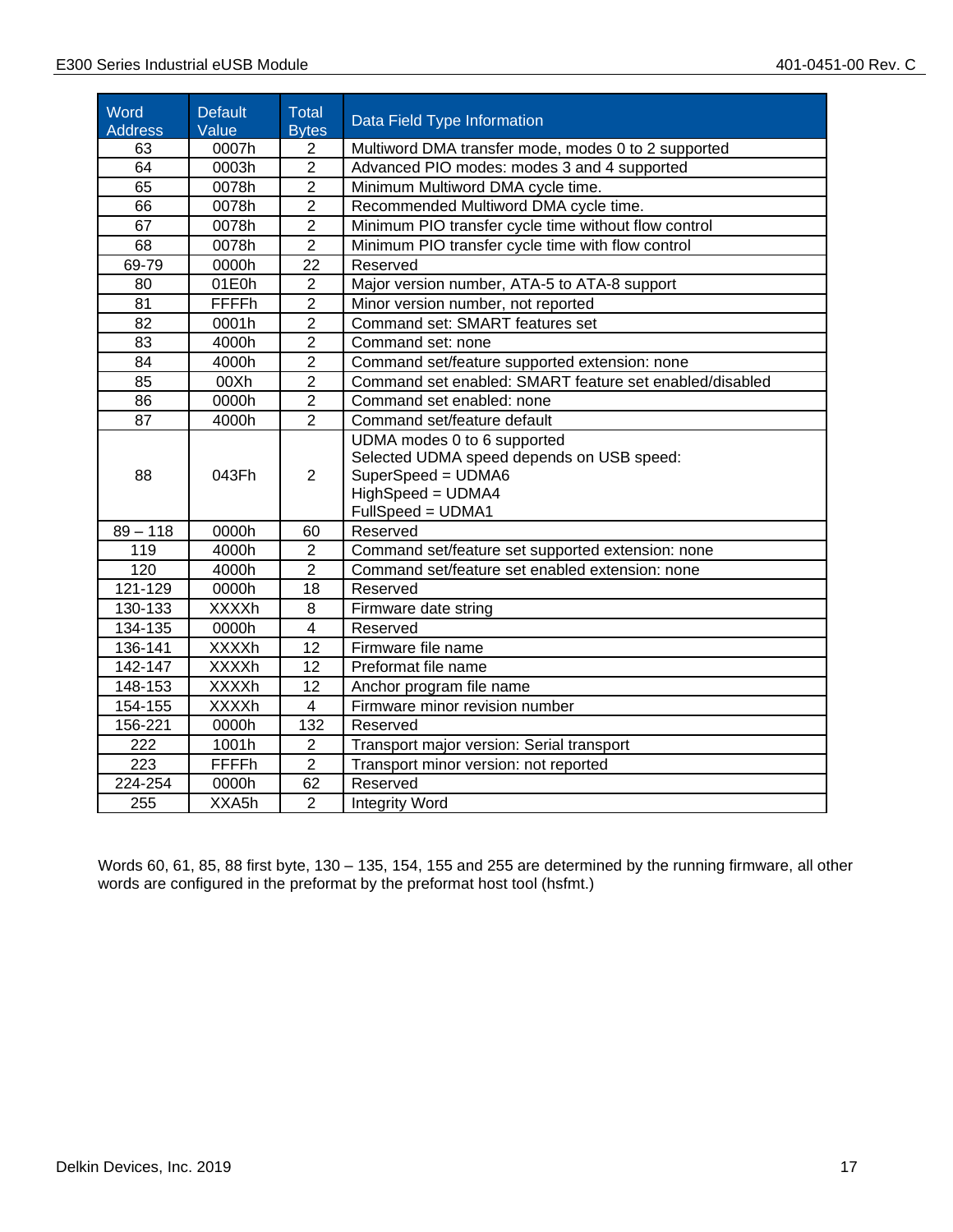٦

| Word<br><b>Address</b> | <b>Default</b><br>Value | Total<br><b>Bytes</b> | Data Field Type Information                                                                                                              |
|------------------------|-------------------------|-----------------------|------------------------------------------------------------------------------------------------------------------------------------------|
| 63                     | 0007h                   | $\overline{2}$        | Multiword DMA transfer mode, modes 0 to 2 supported                                                                                      |
| 64                     | 0003h                   | $\overline{2}$        | Advanced PIO modes: modes 3 and 4 supported                                                                                              |
| 65                     | 0078h                   | $\overline{2}$        | Minimum Multiword DMA cycle time.                                                                                                        |
| 66                     | 0078h                   | $\overline{2}$        | Recommended Multiword DMA cycle time.                                                                                                    |
| 67                     | 0078h                   | $\overline{2}$        | Minimum PIO transfer cycle time without flow control                                                                                     |
| 68                     | 0078h                   | $\overline{2}$        | Minimum PIO transfer cycle time with flow control                                                                                        |
| 69-79                  | 0000h                   | 22                    | Reserved                                                                                                                                 |
| 80                     | 01E0h                   | $\overline{2}$        | Major version number, ATA-5 to ATA-8 support                                                                                             |
| 81                     | <b>FFFFh</b>            | $\overline{2}$        | Minor version number, not reported                                                                                                       |
| 82                     | 0001h                   | $\overline{2}$        | Command set: SMART features set                                                                                                          |
| 83                     | 4000h                   | $\overline{2}$        | Command set: none                                                                                                                        |
| 84                     | 4000h                   | $\overline{2}$        | Command set/feature supported extension: none                                                                                            |
| 85                     | 00Xh                    | $\overline{2}$        | Command set enabled: SMART feature set enabled/disabled                                                                                  |
| 86                     | 0000h                   | $\overline{2}$        | Command set enabled: none                                                                                                                |
| 87                     | 4000h                   | $\overline{2}$        | Command set/feature default                                                                                                              |
| 88                     | 043Fh                   | $\overline{2}$        | UDMA modes 0 to 6 supported<br>Selected UDMA speed depends on USB speed:<br>SuperSpeed = UDMA6<br>HighSpeed = UDMA4<br>FullSpeed = UDMA1 |
| $89 - 118$             | 0000h                   | 60                    | Reserved                                                                                                                                 |
| 119                    | 4000h                   | $\overline{2}$        | Command set/feature set supported extension: none                                                                                        |
| 120                    | 4000h                   | 2                     | Command set/feature set enabled extension: none                                                                                          |
| 121-129                | 0000h                   | 18                    | Reserved                                                                                                                                 |
| 130-133                | <b>XXXXh</b>            | 8                     | Firmware date string                                                                                                                     |
| 134-135                | 0000h                   | $\overline{4}$        | Reserved                                                                                                                                 |
| 136-141                | <b>XXXXh</b>            | 12                    | Firmware file name                                                                                                                       |
| 142-147                | <b>XXXXh</b>            | 12                    | Preformat file name                                                                                                                      |
| 148-153                | <b>XXXXh</b>            | 12                    | Anchor program file name                                                                                                                 |
| 154-155                | <b>XXXXh</b>            | $\overline{4}$        | Firmware minor revision number                                                                                                           |
| 156-221                | 0000h                   | 132                   | Reserved                                                                                                                                 |
| 222                    | 1001h                   | $\overline{2}$        | Transport major version: Serial transport                                                                                                |
| 223                    | <b>FFFFh</b>            | $\overline{2}$        | Transport minor version: not reported                                                                                                    |
| 224-254                | 0000h                   | 62                    | Reserved                                                                                                                                 |
| 255                    | XXA <sub>5h</sub>       | $\overline{2}$        | <b>Integrity Word</b>                                                                                                                    |

Words 60, 61, 85, 88 first byte, 130 – 135, 154, 155 and 255 are determined by the running firmware, all other words are configured in the preformat by the preformat host tool (hsfmt.)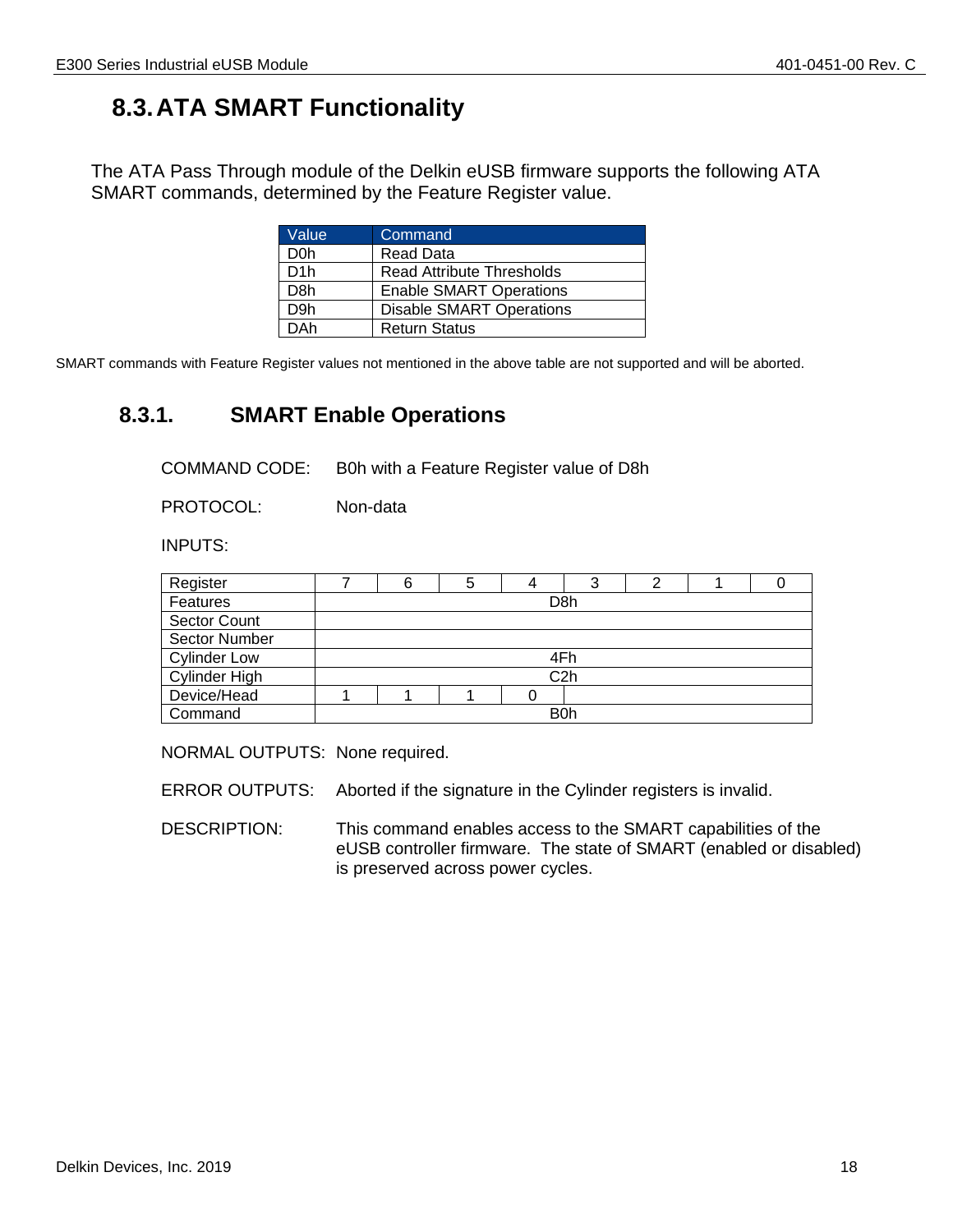## <span id="page-17-0"></span>**8.3.ATA SMART Functionality**

The ATA Pass Through module of the Delkin eUSB firmware supports the following ATA SMART commands, determined by the Feature Register value.

| Value            | Command                          |
|------------------|----------------------------------|
| D <sub>0</sub> h | Read Data                        |
| D <sub>1</sub> h | <b>Read Attribute Thresholds</b> |
| D <sub>8</sub> h | <b>Enable SMART Operations</b>   |
| D <sub>9</sub> h | <b>Disable SMART Operations</b>  |
| DAh              | <b>Return Status</b>             |

SMART commands with Feature Register values not mentioned in the above table are not supported and will be aborted.

## **8.3.1. SMART Enable Operations**

<span id="page-17-1"></span>COMMAND CODE: B0h with a Feature Register value of D8h

PROTOCOL: Non-data

INPUTS:

| Register             |                  | 6                | 5 |  | っ |  |  |  |
|----------------------|------------------|------------------|---|--|---|--|--|--|
| Features             |                  | D <sub>8</sub> h |   |  |   |  |  |  |
| <b>Sector Count</b>  |                  |                  |   |  |   |  |  |  |
| Sector Number        |                  |                  |   |  |   |  |  |  |
| <b>Cylinder Low</b>  | 4Fh              |                  |   |  |   |  |  |  |
| <b>Cylinder High</b> | C <sub>2</sub> h |                  |   |  |   |  |  |  |
| Device/Head          |                  |                  |   |  |   |  |  |  |
| Command              | B <sub>0</sub> h |                  |   |  |   |  |  |  |

NORMAL OUTPUTS: None required.

ERROR OUTPUTS: Aborted if the signature in the Cylinder registers is invalid.

DESCRIPTION: This command enables access to the SMART capabilities of the eUSB controller firmware. The state of SMART (enabled or disabled) is preserved across power cycles.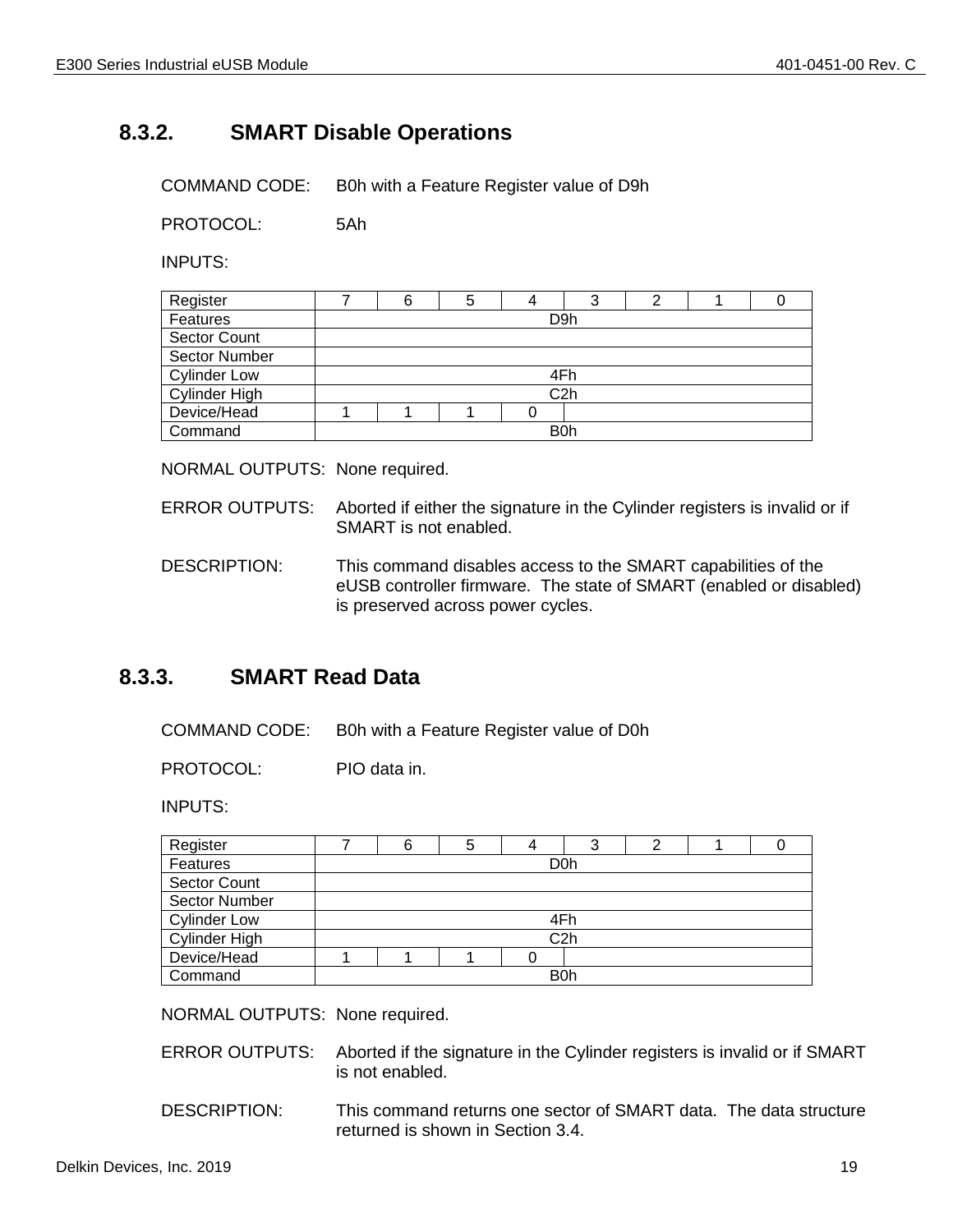## **8.3.2. SMART Disable Operations**

<span id="page-18-0"></span>COMMAND CODE: B0h with a Feature Register value of D9h

PROTOCOL: 5Ah

INPUTS:

| Register             |                  | 6 | 5 |     |  |  |  |
|----------------------|------------------|---|---|-----|--|--|--|
| Features             |                  |   |   | D9h |  |  |  |
| <b>Sector Count</b>  |                  |   |   |     |  |  |  |
| <b>Sector Number</b> |                  |   |   |     |  |  |  |
| <b>Cylinder Low</b>  | 4Fh              |   |   |     |  |  |  |
| Cylinder High        | C <sub>2</sub> h |   |   |     |  |  |  |
| Device/Head          |                  |   |   |     |  |  |  |
| Command              | B <sub>0</sub> h |   |   |     |  |  |  |

NORMAL OUTPUTS: None required.

- ERROR OUTPUTS: Aborted if either the signature in the Cylinder registers is invalid or if SMART is not enabled.
- DESCRIPTION: This command disables access to the SMART capabilities of the eUSB controller firmware. The state of SMART (enabled or disabled) is preserved across power cycles.

#### **8.3.3. SMART Read Data**

<span id="page-18-1"></span>COMMAND CODE: B0h with a Feature Register value of D0h

PROTOCOL: PIO data in.

INPUTS:

| Register            |                  |                  |  | 4 | ◠<br>C |  |  |  |
|---------------------|------------------|------------------|--|---|--------|--|--|--|
| Features            |                  | D <sub>0</sub> h |  |   |        |  |  |  |
| <b>Sector Count</b> |                  |                  |  |   |        |  |  |  |
| Sector Number       |                  |                  |  |   |        |  |  |  |
| <b>Cylinder Low</b> |                  |                  |  |   | 4Fh    |  |  |  |
| Cylinder High       | C <sub>2</sub> h |                  |  |   |        |  |  |  |
| Device/Head         |                  |                  |  |   |        |  |  |  |
| Command             | <b>B0h</b>       |                  |  |   |        |  |  |  |

NORMAL OUTPUTS: None required.

- ERROR OUTPUTS: Aborted if the signature in the Cylinder registers is invalid or if SMART is not enabled.
- DESCRIPTION: This command returns one sector of SMART data. The data structure returned is shown in Section 3.4.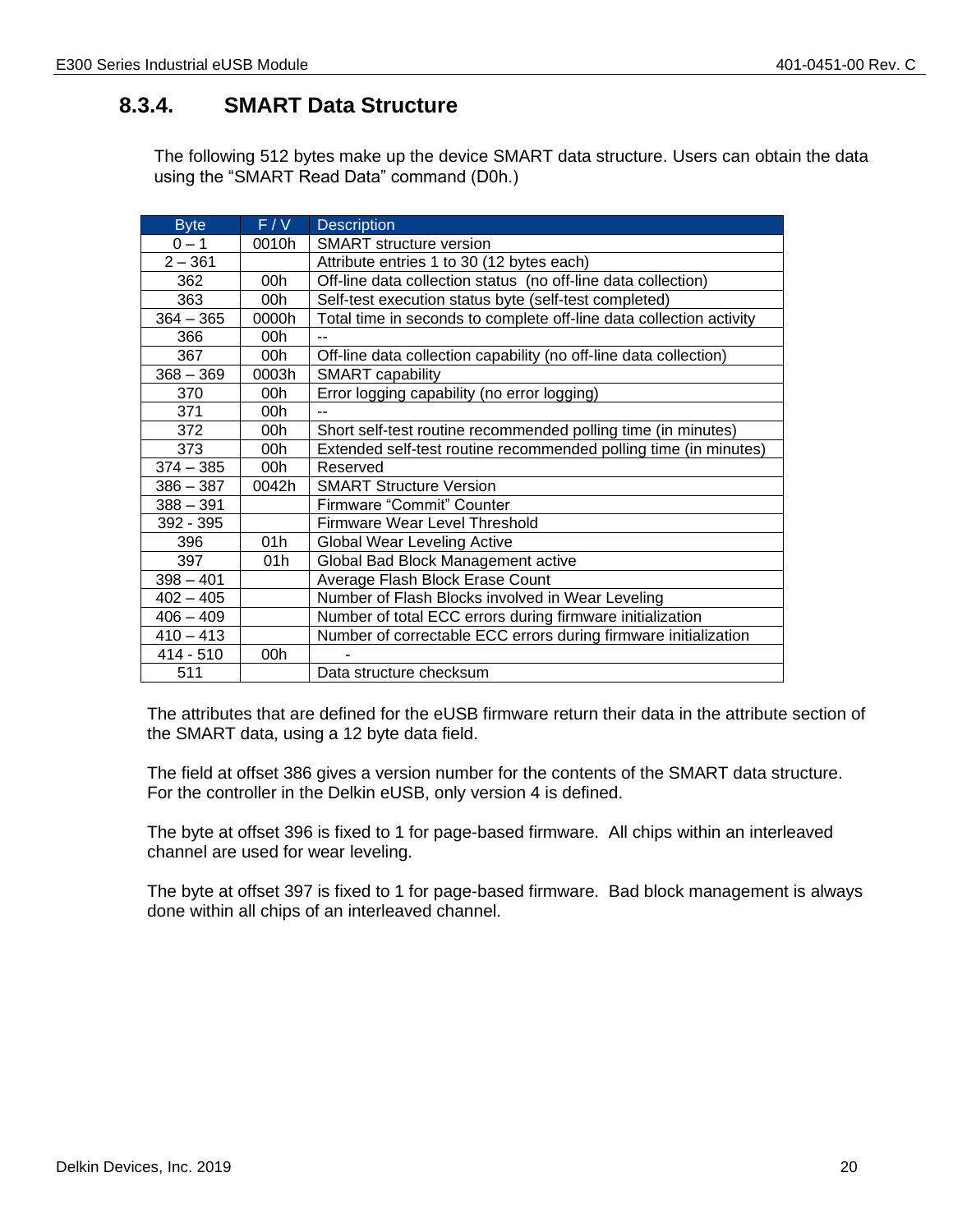## <span id="page-19-0"></span>**8.3.4. SMART Data Structure**

The following 512 bytes make up the device SMART data structure. Users can obtain the data using the "SMART Read Data" command (D0h.)

| <b>Byte</b> | F/V   | <b>Description</b>                                                  |
|-------------|-------|---------------------------------------------------------------------|
| $0 - 1$     | 0010h | <b>SMART</b> structure version                                      |
| $2 - 361$   |       | Attribute entries 1 to 30 (12 bytes each)                           |
| 362         | 00h   | Off-line data collection status (no off-line data collection)       |
| 363         | 00h   | Self-test execution status byte (self-test completed)               |
| $364 - 365$ | 0000h | Total time in seconds to complete off-line data collection activity |
| 366         | 00h   |                                                                     |
| 367         | 00h   | Off-line data collection capability (no off-line data collection)   |
| $368 - 369$ | 0003h | <b>SMART</b> capability                                             |
| 370         | 00h   | Error logging capability (no error logging)                         |
| 371         | 00h   | $-$                                                                 |
| 372         | 00h   | Short self-test routine recommended polling time (in minutes)       |
| 373         | 00h   | Extended self-test routine recommended polling time (in minutes)    |
| $374 - 385$ | 00h   | Reserved                                                            |
| $386 - 387$ | 0042h | <b>SMART Structure Version</b>                                      |
| $388 - 391$ |       | Firmware "Commit" Counter                                           |
| 392 - 395   |       | Firmware Wear Level Threshold                                       |
| 396         | 01h   | <b>Global Wear Leveling Active</b>                                  |
| 397         | 01h   | Global Bad Block Management active                                  |
| $398 - 401$ |       | Average Flash Block Erase Count                                     |
| $402 - 405$ |       | Number of Flash Blocks involved in Wear Leveling                    |
| $406 - 409$ |       | Number of total ECC errors during firmware initialization           |
| $410 - 413$ |       | Number of correctable ECC errors during firmware initialization     |
| 414 - 510   | 00h   |                                                                     |
| 511         |       | Data structure checksum                                             |

The attributes that are defined for the eUSB firmware return their data in the attribute section of the SMART data, using a 12 byte data field.

The field at offset 386 gives a version number for the contents of the SMART data structure. For the controller in the Delkin eUSB, only version 4 is defined.

The byte at offset 396 is fixed to 1 for page-based firmware. All chips within an interleaved channel are used for wear leveling.

The byte at offset 397 is fixed to 1 for page-based firmware. Bad block management is always done within all chips of an interleaved channel.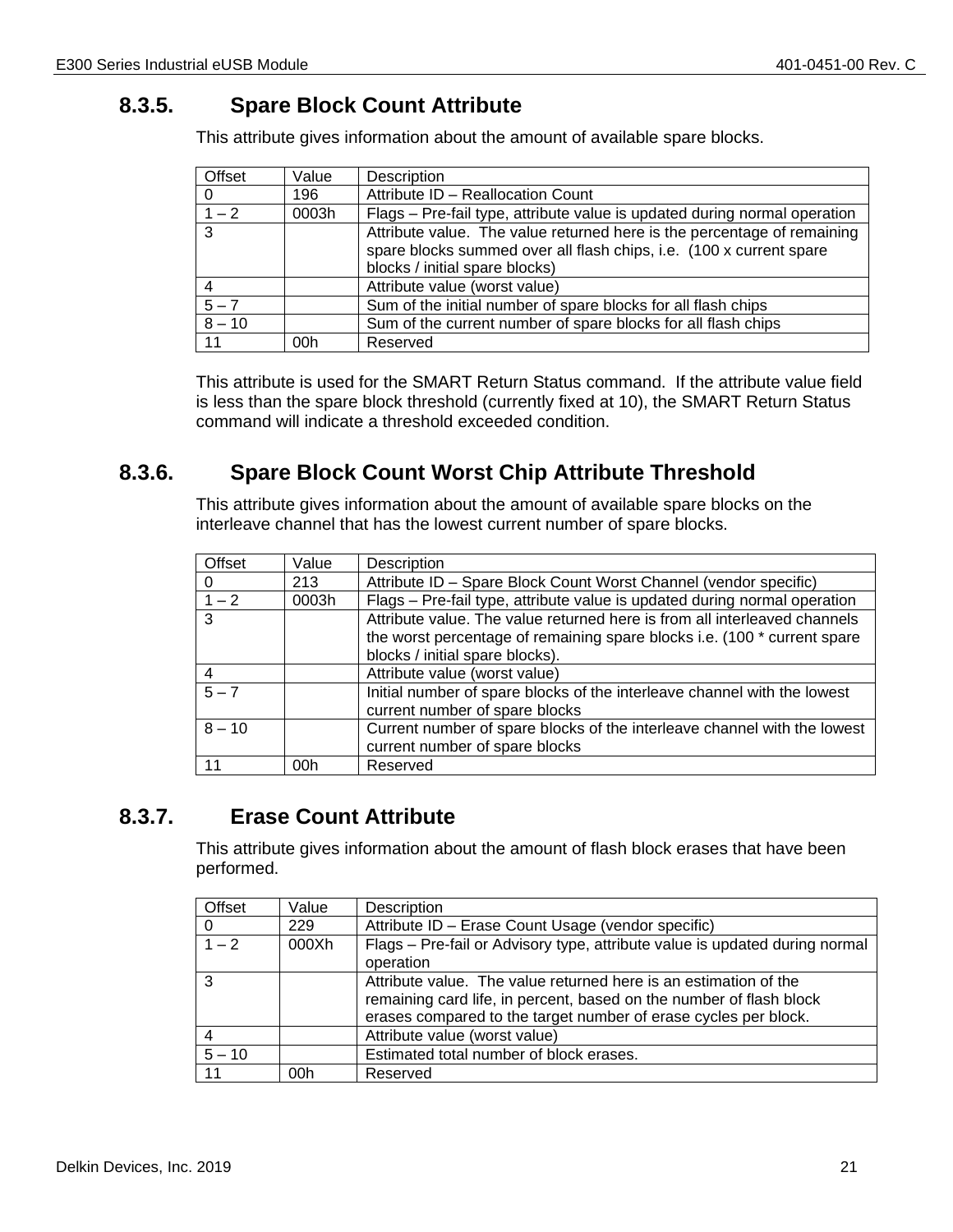## **8.3.5. Spare Block Count Attribute**

<span id="page-20-0"></span>This attribute gives information about the amount of available spare blocks.

| Offset   | Value | Description                                                               |
|----------|-------|---------------------------------------------------------------------------|
| -0       | 196   | Attribute ID - Reallocation Count                                         |
| $1 - 2$  | 0003h | Flags - Pre-fail type, attribute value is updated during normal operation |
| 3        |       | Attribute value. The value returned here is the percentage of remaining   |
|          |       | spare blocks summed over all flash chips, i.e. (100 x current spare       |
|          |       | blocks / initial spare blocks)                                            |
| 4        |       | Attribute value (worst value)                                             |
| $5 - 7$  |       | Sum of the initial number of spare blocks for all flash chips             |
| $8 - 10$ |       | Sum of the current number of spare blocks for all flash chips             |
| 11       | 00h   | Reserved                                                                  |

This attribute is used for the SMART Return Status command. If the attribute value field is less than the spare block threshold (currently fixed at 10), the SMART Return Status command will indicate a threshold exceeded condition.

## **8.3.6. Spare Block Count Worst Chip Attribute Threshold**

<span id="page-20-1"></span>This attribute gives information about the amount of available spare blocks on the interleave channel that has the lowest current number of spare blocks.

| Offset         | Value | Description                                                               |
|----------------|-------|---------------------------------------------------------------------------|
| $\mathbf 0$    | 213   | Attribute ID - Spare Block Count Worst Channel (vendor specific)          |
| $1 - 2$        | 0003h | Flags - Pre-fail type, attribute value is updated during normal operation |
| $\overline{3}$ |       | Attribute value. The value returned here is from all interleaved channels |
|                |       | the worst percentage of remaining spare blocks i.e. (100 * current spare  |
|                |       | blocks / initial spare blocks).                                           |
| $\overline{4}$ |       | Attribute value (worst value)                                             |
| $5 - 7$        |       | Initial number of spare blocks of the interleave channel with the lowest  |
|                |       | current number of spare blocks                                            |
| $8 - 10$       |       | Current number of spare blocks of the interleave channel with the lowest  |
|                |       | current number of spare blocks                                            |
| 11             | 00h   | Reserved                                                                  |

## **8.3.7. Erase Count Attribute**

<span id="page-20-2"></span>This attribute gives information about the amount of flash block erases that have been performed.

| Offset   | Value | Description                                                                                                                                                                                                |
|----------|-------|------------------------------------------------------------------------------------------------------------------------------------------------------------------------------------------------------------|
| 0        | 229   | Attribute ID - Erase Count Usage (vendor specific)                                                                                                                                                         |
| $1 - 2$  | 000Xh | Flags - Pre-fail or Advisory type, attribute value is updated during normal<br>operation                                                                                                                   |
| 3        |       | Attribute value. The value returned here is an estimation of the<br>remaining card life, in percent, based on the number of flash block<br>erases compared to the target number of erase cycles per block. |
| 4        |       | Attribute value (worst value)                                                                                                                                                                              |
| $5 - 10$ |       | Estimated total number of block erases.                                                                                                                                                                    |
| 11       | 00h   | Reserved                                                                                                                                                                                                   |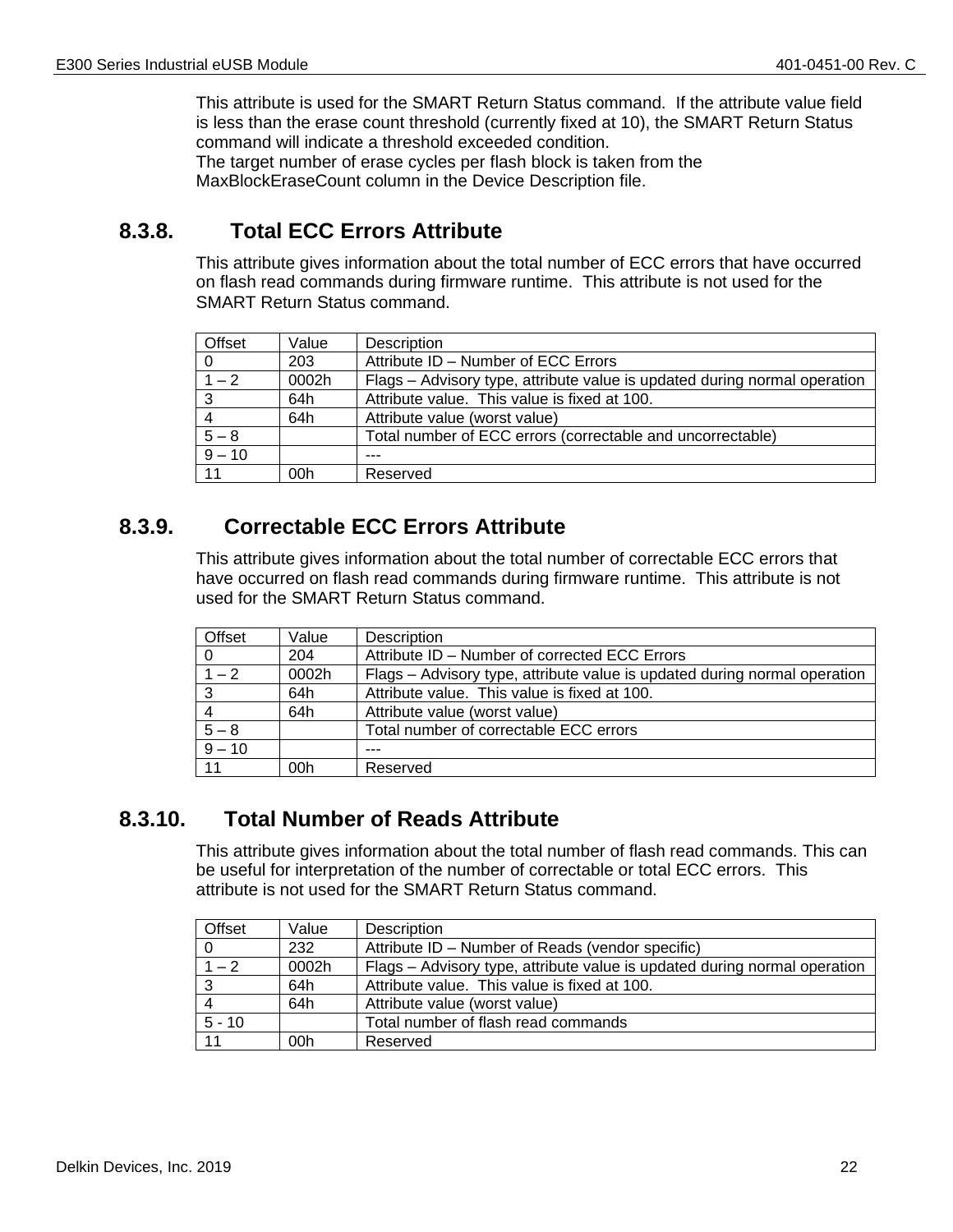This attribute is used for the SMART Return Status command. If the attribute value field is less than the erase count threshold (currently fixed at 10), the SMART Return Status command will indicate a threshold exceeded condition.

The target number of erase cycles per flash block is taken from the MaxBlockEraseCount column in the Device Description file.

## **8.3.8. Total ECC Errors Attribute**

<span id="page-21-0"></span>This attribute gives information about the total number of ECC errors that have occurred on flash read commands during firmware runtime. This attribute is not used for the SMART Return Status command.

| Offset   | Value | <b>Description</b>                                                        |
|----------|-------|---------------------------------------------------------------------------|
| - 0      | 203   | Attribute ID - Number of ECC Errors                                       |
| $1 - 2$  | 0002h | Flags - Advisory type, attribute value is updated during normal operation |
| -3       | 64h   | Attribute value. This value is fixed at 100.                              |
| -4       | 64h   | Attribute value (worst value)                                             |
| $5 - 8$  |       | Total number of ECC errors (correctable and uncorrectable)                |
| $9 - 10$ |       |                                                                           |
| 11       | 00h   | Reserved                                                                  |

## <span id="page-21-1"></span>**8.3.9. Correctable ECC Errors Attribute**

This attribute gives information about the total number of correctable ECC errors that have occurred on flash read commands during firmware runtime. This attribute is not used for the SMART Return Status command.

| Offset             | Value | <b>Description</b>                                                        |
|--------------------|-------|---------------------------------------------------------------------------|
| l 0                | 204   | Attribute ID - Number of corrected ECC Errors                             |
| $\overline{1-2}$   | 0002h | Flags - Advisory type, attribute value is updated during normal operation |
| $\sqrt{3}$         | 64h   | Attribute value. This value is fixed at 100.                              |
| $\overline{4}$     | 64h   | Attribute value (worst value)                                             |
| $\frac{5-8}{9-10}$ |       | Total number of correctable ECC errors                                    |
|                    |       |                                                                           |
| 11                 | 00h   | Reserved                                                                  |

#### <span id="page-21-2"></span>**8.3.10. Total Number of Reads Attribute**

This attribute gives information about the total number of flash read commands. This can be useful for interpretation of the number of correctable or total ECC errors. This attribute is not used for the SMART Return Status command.

| Offset         | Value | <b>Description</b>                                                        |
|----------------|-------|---------------------------------------------------------------------------|
|                | 232   | Attribute ID - Number of Reads (vendor specific)                          |
| $1 - 2$        | 0002h | Flags - Advisory type, attribute value is updated during normal operation |
| -3             | 64h   | Attribute value. This value is fixed at 100.                              |
| $\overline{4}$ | 64h   | Attribute value (worst value)                                             |
| $5 - 10$       |       | Total number of flash read commands                                       |
|                | 00h   | Reserved                                                                  |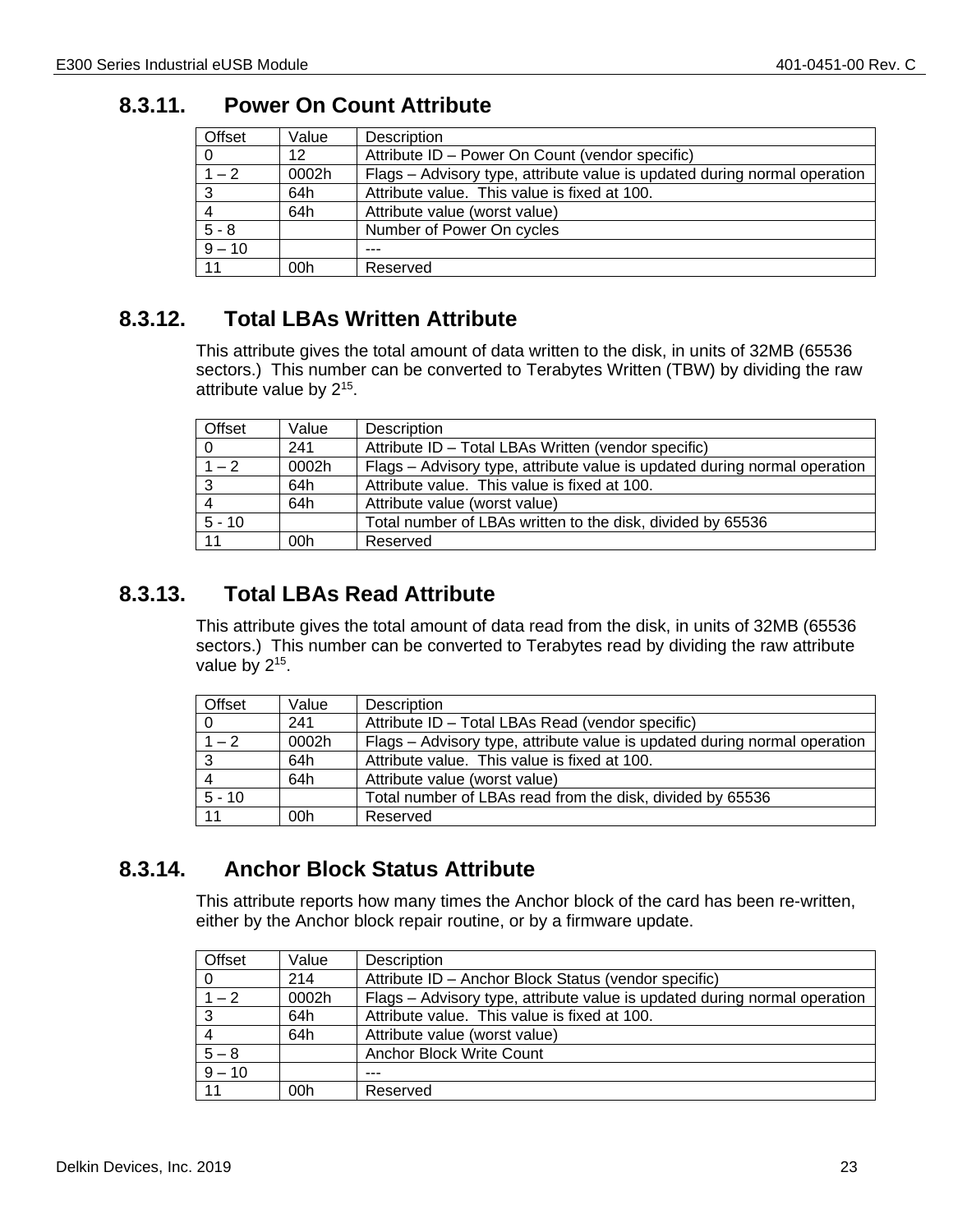#### <span id="page-22-0"></span>**8.3.11. Power On Count Attribute**

| Offset         | Value | Description                                                               |
|----------------|-------|---------------------------------------------------------------------------|
| $\overline{0}$ | 12    | Attribute ID - Power On Count (vendor specific)                           |
| $1 - 2$        | 0002h | Flags - Advisory type, attribute value is updated during normal operation |
| $\mathbf{3}$   | 64h   | Attribute value. This value is fixed at 100.                              |
|                | 64h   | Attribute value (worst value)                                             |
| $5 - 8$        |       | Number of Power On cycles                                                 |
| $9 - 10$       |       |                                                                           |
| 11             | 00h   | Reserved                                                                  |

## <span id="page-22-1"></span>**8.3.12. Total LBAs Written Attribute**

This attribute gives the total amount of data written to the disk, in units of 32MB (65536 sectors.) This number can be converted to Terabytes Written (TBW) by dividing the raw attribute value by 2<sup>15</sup>.

| Offset   | Value | <b>Description</b>                                                        |
|----------|-------|---------------------------------------------------------------------------|
| -0       | 241   | Attribute ID – Total LBAs Written (vendor specific)                       |
| $1 - 2$  | 0002h | Flags - Advisory type, attribute value is updated during normal operation |
| - 3      | 64h   | Attribute value. This value is fixed at 100.                              |
|          | 64h   | Attribute value (worst value)                                             |
| $5 - 10$ |       | Total number of LBAs written to the disk, divided by 65536                |
|          | 00h   | Reserved                                                                  |

## <span id="page-22-2"></span>**8.3.13. Total LBAs Read Attribute**

This attribute gives the total amount of data read from the disk, in units of 32MB (65536 sectors.) This number can be converted to Terabytes read by dividing the raw attribute value by  $2^{15}$ .

| Offset       | Value | Description                                                               |
|--------------|-------|---------------------------------------------------------------------------|
| - 0          | 241   | Attribute ID – Total LBAs Read (vendor specific)                          |
| $1 - 2$      | 0002h | Flags – Advisory type, attribute value is updated during normal operation |
| $\mathbf{3}$ | 64h   | Attribute value. This value is fixed at 100.                              |
| -4           | 64h   | Attribute value (worst value)                                             |
| $5 - 10$     |       | Total number of LBAs read from the disk, divided by 65536                 |
|              | 00h   | Reserved                                                                  |

## <span id="page-22-3"></span>**8.3.14. Anchor Block Status Attribute**

This attribute reports how many times the Anchor block of the card has been re-written, either by the Anchor block repair routine, or by a firmware update.

| Offset   | Value | Description                                                               |
|----------|-------|---------------------------------------------------------------------------|
| $\Omega$ | 214   | Attribute ID - Anchor Block Status (vendor specific)                      |
| $1 - 2$  | 0002h | Flags - Advisory type, attribute value is updated during normal operation |
| 3        | 64h   | Attribute value. This value is fixed at 100.                              |
|          | 64h   | Attribute value (worst value)                                             |
| $5 - 8$  |       | Anchor Block Write Count                                                  |
| $9 - 10$ |       |                                                                           |
| 11       | 00h   | Reserved                                                                  |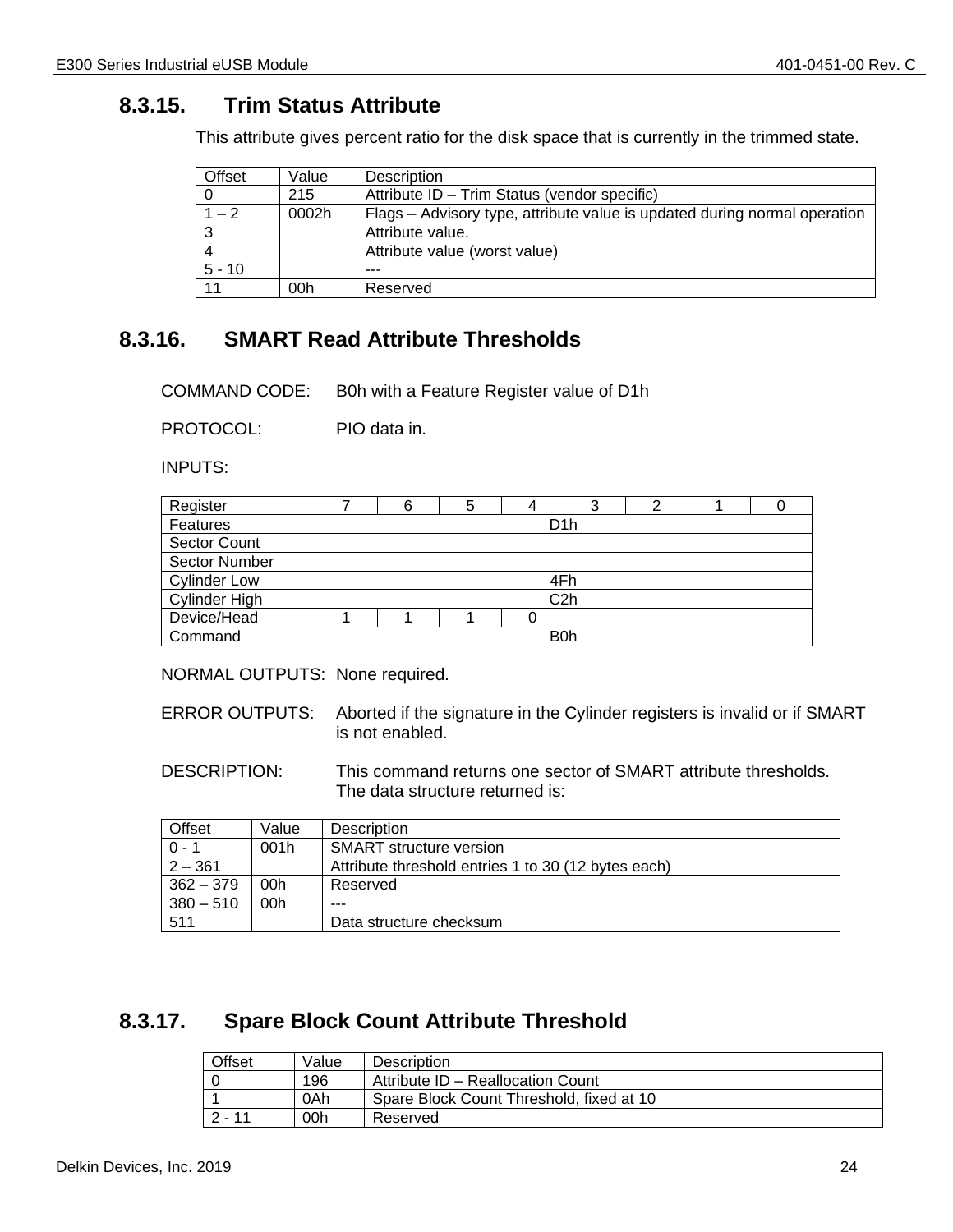## <span id="page-23-0"></span>**8.3.15. Trim Status Attribute**

This attribute gives percent ratio for the disk space that is currently in the trimmed state.

| Offset   | Value | Description                                                               |
|----------|-------|---------------------------------------------------------------------------|
|          | 215   | Attribute ID - Trim Status (vendor specific)                              |
| $1 - 2$  | 0002h | Flags – Advisory type, attribute value is updated during normal operation |
| -3       |       | Attribute value.                                                          |
| 4        |       | Attribute value (worst value)                                             |
| $5 - 10$ |       | ---                                                                       |
|          | 00h   | Reserved                                                                  |

## <span id="page-23-1"></span>**8.3.16. SMART Read Attribute Thresholds**

COMMAND CODE: B0h with a Feature Register value of D1h

PROTOCOL: PIO data in.

INPUTS:

| Register             | 6 | 5 | 4 | C                |  |  |
|----------------------|---|---|---|------------------|--|--|
| Features             |   |   |   | D <sub>1</sub> h |  |  |
| <b>Sector Count</b>  |   |   |   |                  |  |  |
| Sector Number        |   |   |   |                  |  |  |
| <b>Cylinder Low</b>  |   |   |   | 4Fh              |  |  |
| <b>Cylinder High</b> |   |   |   | C <sub>2</sub> h |  |  |
| Device/Head          |   |   |   |                  |  |  |
| Command              |   |   |   | B <sub>0</sub> h |  |  |

NORMAL OUTPUTS: None required.

- ERROR OUTPUTS: Aborted if the signature in the Cylinder registers is invalid or if SMART is not enabled.
- DESCRIPTION: This command returns one sector of SMART attribute thresholds. The data structure returned is:

| Offset      | Value | <b>Description</b>                                  |  |  |  |
|-------------|-------|-----------------------------------------------------|--|--|--|
| $0 - 1$     | 001h  | <b>SMART</b> structure version                      |  |  |  |
| $2 - 361$   |       | Attribute threshold entries 1 to 30 (12 bytes each) |  |  |  |
| $362 - 379$ | 00h   | Reserved                                            |  |  |  |
| $380 - 510$ | 00h   | ---                                                 |  |  |  |
| 511         |       | Data structure checksum                             |  |  |  |

## <span id="page-23-2"></span>**8.3.17. Spare Block Count Attribute Threshold**

| <b>Offset</b> | Value | <b>Description</b>                       |
|---------------|-------|------------------------------------------|
|               | 196   | Attribute ID - Reallocation Count        |
|               | 0Ah   | Spare Block Count Threshold, fixed at 10 |
| $2 - 11$      | 00h   | Reserved                                 |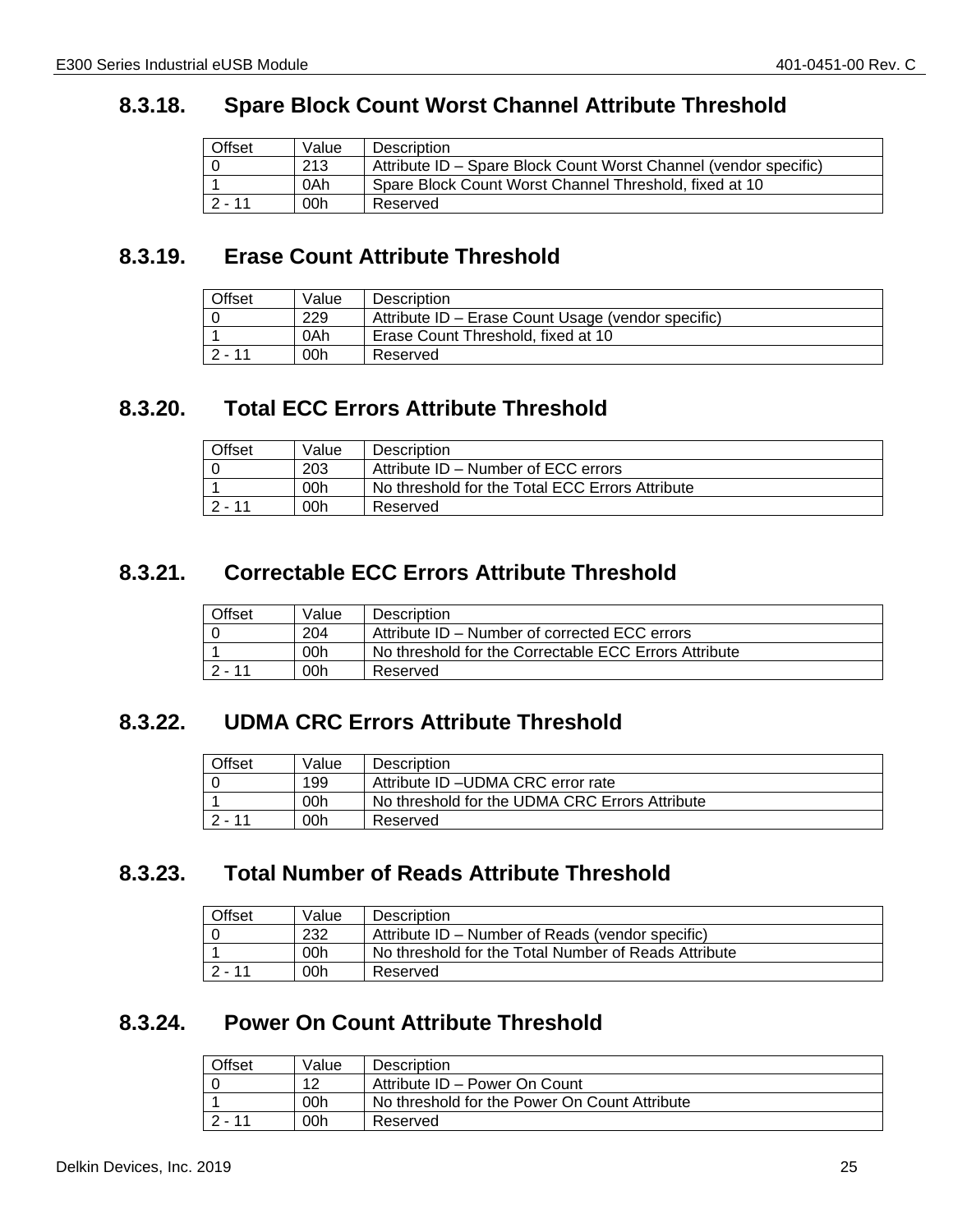#### <span id="page-24-0"></span>**8.3.18. Spare Block Count Worst Channel Attribute Threshold**

| Offset   | Value | Description                                                      |
|----------|-------|------------------------------------------------------------------|
|          | 213   | Attribute ID - Spare Block Count Worst Channel (vendor specific) |
|          | 0Ah   | Spare Block Count Worst Channel Threshold, fixed at 10           |
| $2 - 11$ | 00h   | Reserved                                                         |

#### <span id="page-24-1"></span>**8.3.19. Erase Count Attribute Threshold**

| Offset   | Value | <b>Description</b>                                 |
|----------|-------|----------------------------------------------------|
|          | 229   | Attribute ID – Erase Count Usage (vendor specific) |
|          | 0Ah   | Erase Count Threshold, fixed at 10                 |
| $2 - 11$ | 00h   | Reserved                                           |

## <span id="page-24-2"></span>**8.3.20. Total ECC Errors Attribute Threshold**

| Offset    | Value | <b>Description</b>                              |
|-----------|-------|-------------------------------------------------|
|           | 203   | Attribute ID – Number of ECC errors             |
|           | 00h   | No threshold for the Total ECC Errors Attribute |
| $12 - 11$ | 00h   | Reserved                                        |

## <span id="page-24-3"></span>**8.3.21. Correctable ECC Errors Attribute Threshold**

| Offset | Value | <b>Description</b>                                    |
|--------|-------|-------------------------------------------------------|
|        | 204   | Attribute ID – Number of corrected ECC errors         |
|        | 00h   | No threshold for the Correctable ECC Errors Attribute |
| 2 - 11 | 00h   | Reserved                                              |

#### <span id="page-24-4"></span>**8.3.22. UDMA CRC Errors Attribute Threshold**

| Offset   | Value | Description                                    |
|----------|-------|------------------------------------------------|
|          | 199   | Attribute ID - UDMA CRC error rate             |
|          | 00h   | No threshold for the UDMA CRC Errors Attribute |
| $2 - 11$ | 00h   | Reserved                                       |

#### <span id="page-24-5"></span>**8.3.23. Total Number of Reads Attribute Threshold**

| Offset   | Value | <b>Description</b>                                   |
|----------|-------|------------------------------------------------------|
|          | 232   | Attribute ID – Number of Reads (vendor specific)     |
|          | 00h   | No threshold for the Total Number of Reads Attribute |
| $2 - 11$ | 00h   | Reserved                                             |

## <span id="page-24-6"></span>**8.3.24. Power On Count Attribute Threshold**

| Offset | Value | <b>Description</b>                            |
|--------|-------|-----------------------------------------------|
|        | 12    | Attribute ID - Power On Count                 |
|        | 00h   | No threshold for the Power On Count Attribute |
| 2 - 11 | 00h   | Reserved                                      |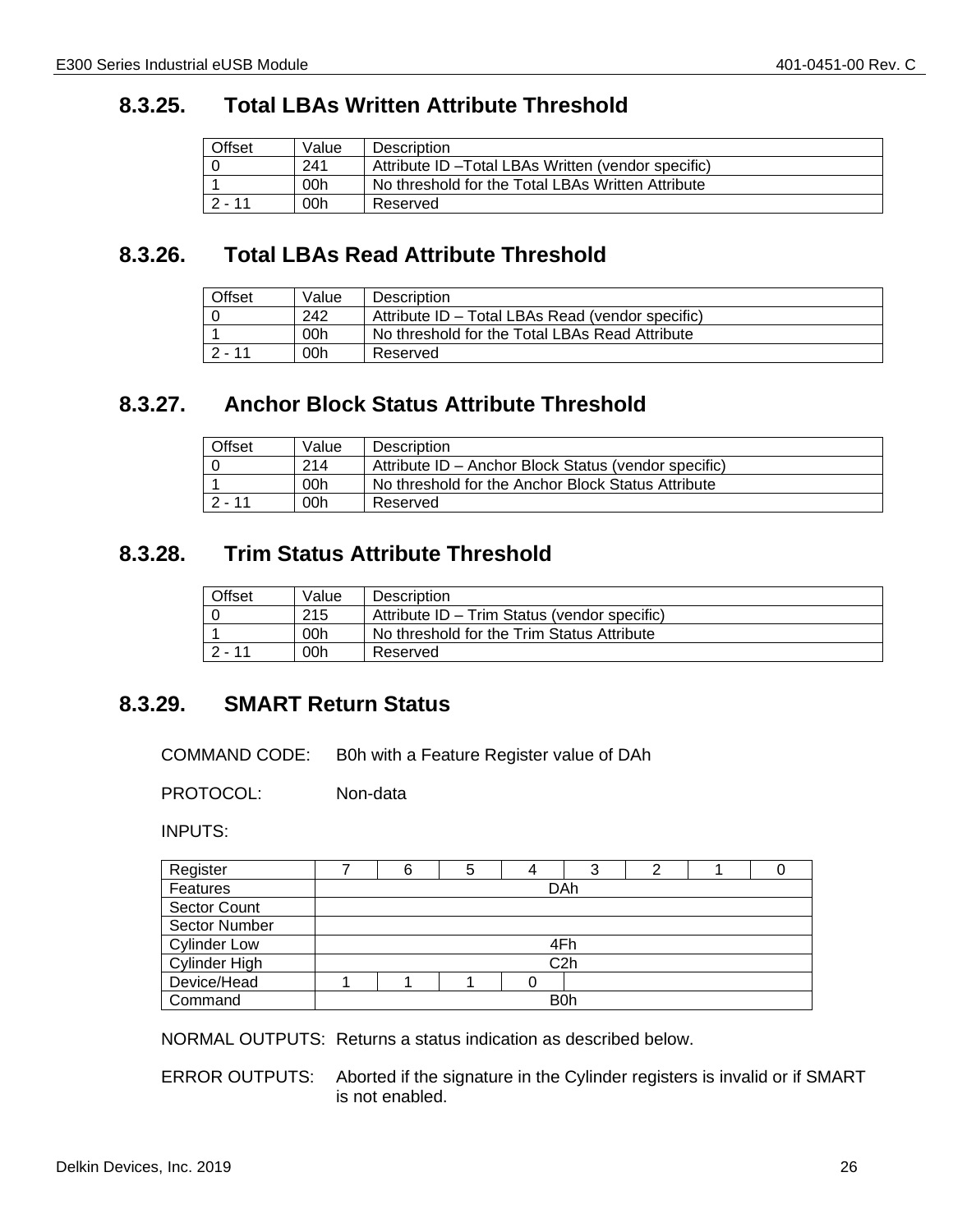#### <span id="page-25-0"></span>**8.3.25. Total LBAs Written Attribute Threshold**

| Offset   | Value | Description                                         |
|----------|-------|-----------------------------------------------------|
|          | 241   | Attribute ID - Total LBAs Written (vendor specific) |
|          | 00h   | No threshold for the Total LBAs Written Attribute   |
| $2 - 11$ | 00h   | Reserved                                            |

## <span id="page-25-1"></span>**8.3.26. Total LBAs Read Attribute Threshold**

| Offset | Value | Description                                      |
|--------|-------|--------------------------------------------------|
|        | 242   | Attribute ID - Total LBAs Read (vendor specific) |
|        | 00h   | No threshold for the Total LBAs Read Attribute   |
| 2 - 11 | 00h   | Reserved                                         |

## <span id="page-25-2"></span>**8.3.27. Anchor Block Status Attribute Threshold**

| Offset   | Value | <b>Description</b>                                   |
|----------|-------|------------------------------------------------------|
|          | 214   | Attribute ID - Anchor Block Status (vendor specific) |
|          | 00h   | No threshold for the Anchor Block Status Attribute   |
| $2 - 11$ | 00h   | Reserved                                             |

#### <span id="page-25-3"></span>**8.3.28. Trim Status Attribute Threshold**

| Offset   | Value | Description                                  |
|----------|-------|----------------------------------------------|
|          | 215   | Attribute ID - Trim Status (vendor specific) |
|          | 00h   | No threshold for the Trim Status Attribute   |
| $2 - 11$ | 00h   | Reserved                                     |

## <span id="page-25-4"></span>**8.3.29. SMART Return Status**

COMMAND CODE: B0h with a Feature Register value of DAh

PROTOCOL: Non-data

INPUTS:

| Register            |                  | 6   | 5 | 4 | 3                |  |  |  |
|---------------------|------------------|-----|---|---|------------------|--|--|--|
| Features            |                  | DAh |   |   |                  |  |  |  |
| <b>Sector Count</b> |                  |     |   |   |                  |  |  |  |
| Sector Number       |                  |     |   |   |                  |  |  |  |
| <b>Cylinder Low</b> | 4Fh              |     |   |   |                  |  |  |  |
| Cylinder High       | C <sub>2</sub> h |     |   |   |                  |  |  |  |
| Device/Head         |                  |     |   |   |                  |  |  |  |
| Command             |                  |     |   |   | B <sub>0</sub> h |  |  |  |

NORMAL OUTPUTS: Returns a status indication as described below.

ERROR OUTPUTS: Aborted if the signature in the Cylinder registers is invalid or if SMART is not enabled.